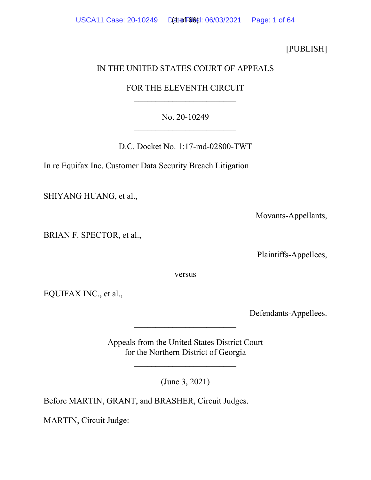[PUBLISH]

# IN THE UNITED STATES COURT OF APPEALS

# FOR THE ELEVENTH CIRCUIT \_\_\_\_\_\_\_\_\_\_\_\_\_\_\_\_\_\_\_\_\_\_\_\_

# No. 20-10249 \_\_\_\_\_\_\_\_\_\_\_\_\_\_\_\_\_\_\_\_\_\_\_\_

D.C. Docket No. 1:17-md-02800-TWT

In re Equifax Inc. Customer Data Security Breach Litigation

SHIYANG HUANG, et al.,

Movants-Appellants,

BRIAN F. SPECTOR, et al.,

Plaintiffs-Appellees,

versus

EQUIFAX INC., et al.,

Defendants-Appellees.

Appeals from the United States District Court for the Northern District of Georgia

 $\overline{\phantom{a}}$ 

\_\_\_\_\_\_\_\_\_\_\_\_\_\_\_\_\_\_\_\_\_\_\_\_

(June 3, 2021)

Before MARTIN, GRANT, and BRASHER, Circuit Judges.

MARTIN, Circuit Judge: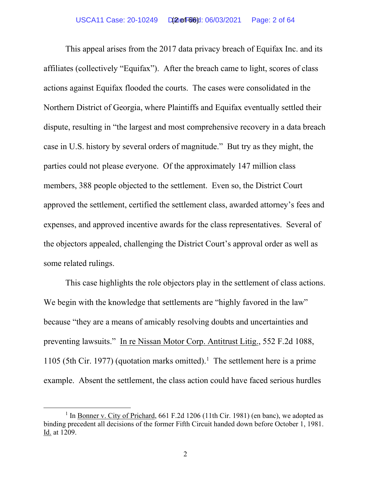This appeal arises from the 2017 data privacy breach of Equifax Inc. and its affiliates (collectively "Equifax"). After the breach came to light, scores of class actions against Equifax flooded the courts. The cases were consolidated in the Northern District of Georgia, where Plaintiffs and Equifax eventually settled their dispute, resulting in "the largest and most comprehensive recovery in a data breach case in U.S. history by several orders of magnitude." But try as they might, the parties could not please everyone. Of the approximately 147 million class members, 388 people objected to the settlement. Even so, the District Court approved the settlement, certified the settlement class, awarded attorney's fees and expenses, and approved incentive awards for the class representatives. Several of the objectors appealed, challenging the District Court's approval order as well as some related rulings.

This case highlights the role objectors play in the settlement of class actions. We begin with the knowledge that settlements are "highly favored in the law" because "they are a means of amicably resolving doubts and uncertainties and preventing lawsuits." In re Nissan Motor Corp. Antitrust Litig., 552 F.2d 1088, [1](#page-62-0)105 (5th Cir. 1977) (quotation marks omitted).<sup>1</sup> The settlement here is a prime example. Absent the settlement, the class action could have faced serious hurdles

<sup>&</sup>lt;sup>1</sup> In Bonner v. City of Prichard, 661 F.2d 1206 (11th Cir. 1981) (en banc), we adopted as binding precedent all decisions of the former Fifth Circuit handed down before October 1, 1981. Id. at 1209.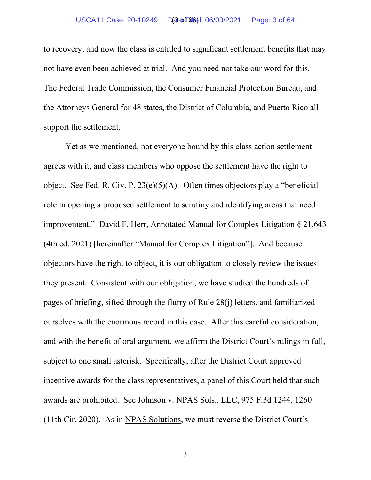to recovery, and now the class is entitled to significant settlement benefits that may not have even been achieved at trial. And you need not take our word for this. The Federal Trade Commission, the Consumer Financial Protection Bureau, and the Attorneys General for 48 states, the District of Columbia, and Puerto Rico all support the settlement.

Yet as we mentioned, not everyone bound by this class action settlement agrees with it, and class members who oppose the settlement have the right to object. See Fed. R. Civ. P. 23(e)(5)(A). Often times objectors play a "beneficial role in opening a proposed settlement to scrutiny and identifying areas that need improvement." David F. Herr, Annotated Manual for Complex Litigation § 21.643 (4th ed. 2021) [hereinafter "Manual for Complex Litigation"]. And because objectors have the right to object, it is our obligation to closely review the issues they present. Consistent with our obligation, we have studied the hundreds of pages of briefing, sifted through the flurry of Rule 28(j) letters, and familiarized ourselves with the enormous record in this case. After this careful consideration, and with the benefit of oral argument, we affirm the District Court's rulings in full, subject to one small asterisk. Specifically, after the District Court approved incentive awards for the class representatives, a panel of this Court held that such awards are prohibited. See Johnson v. NPAS Sols., LLC, 975 F.3d 1244, 1260 (11th Cir. 2020). As in NPAS Solutions, we must reverse the District Court's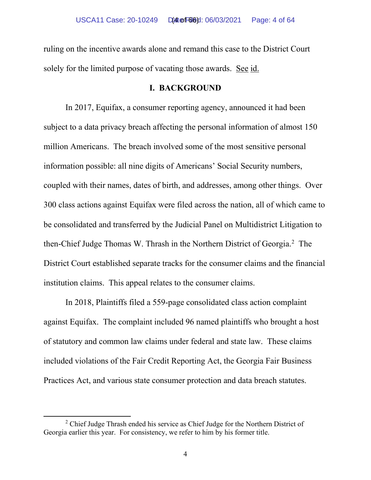ruling on the incentive awards alone and remand this case to the District Court solely for the limited purpose of vacating those awards. See id.

### **I. BACKGROUND**

In 2017, Equifax, a consumer reporting agency, announced it had been subject to a data privacy breach affecting the personal information of almost 150 million Americans. The breach involved some of the most sensitive personal information possible: all nine digits of Americans' Social Security numbers, coupled with their names, dates of birth, and addresses, among other things. Over 300 class actions against Equifax were filed across the nation, all of which came to be consolidated and transferred by the Judicial Panel on Multidistrict Litigation to then-Chief Judge Thomas W. Thrash in the Northern District of Georgia.<sup>2</sup> The District Court established separate tracks for the consumer claims and the financial institution claims. This appeal relates to the consumer claims.

In 2018, Plaintiffs filed a 559-page consolidated class action complaint against Equifax. The complaint included 96 named plaintiffs who brought a host of statutory and common law claims under federal and state law. These claims included violations of the Fair Credit Reporting Act, the Georgia Fair Business Practices Act, and various state consumer protection and data breach statutes.

<sup>&</sup>lt;sup>2</sup> Chief Judge Thrash ended his service as Chief Judge for the Northern District of Georgia earlier this year. For consistency, we refer to him by his former title.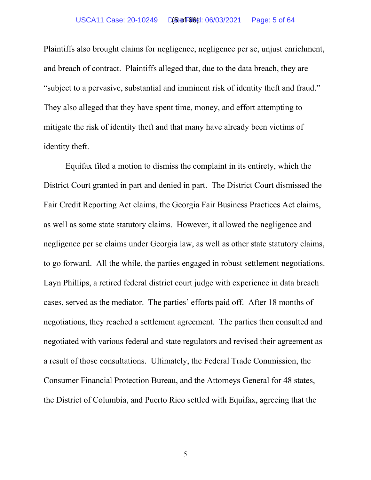#### USCA11 Case: 20-10249 Date Filed: 06/03/2021 Page: 5 of 64 (5 of 66)

Plaintiffs also brought claims for negligence, negligence per se, unjust enrichment, and breach of contract. Plaintiffs alleged that, due to the data breach, they are "subject to a pervasive, substantial and imminent risk of identity theft and fraud." They also alleged that they have spent time, money, and effort attempting to mitigate the risk of identity theft and that many have already been victims of identity theft.

Equifax filed a motion to dismiss the complaint in its entirety, which the District Court granted in part and denied in part. The District Court dismissed the Fair Credit Reporting Act claims, the Georgia Fair Business Practices Act claims, as well as some state statutory claims. However, it allowed the negligence and negligence per se claims under Georgia law, as well as other state statutory claims, to go forward. All the while, the parties engaged in robust settlement negotiations. Layn Phillips, a retired federal district court judge with experience in data breach cases, served as the mediator. The parties' efforts paid off. After 18 months of negotiations, they reached a settlement agreement. The parties then consulted and negotiated with various federal and state regulators and revised their agreement as a result of those consultations. Ultimately, the Federal Trade Commission, the Consumer Financial Protection Bureau, and the Attorneys General for 48 states, the District of Columbia, and Puerto Rico settled with Equifax, agreeing that the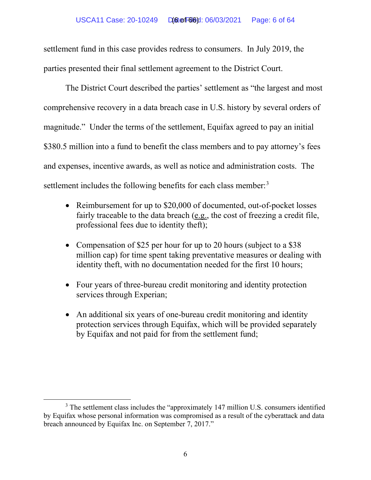#### USCA11 Case: 20-10249 Date Filed: 06/03/2021 Page: 6 of 64 (6 of 66)

settlement fund in this case provides redress to consumers. In July 2019, the parties presented their final settlement agreement to the District Court.

The District Court described the parties' settlement as "the largest and most comprehensive recovery in a data breach case in U.S. history by several orders of magnitude." Under the terms of the settlement, Equifax agreed to pay an initial \$380.5 million into a fund to benefit the class members and to pay attorney's fees and expenses, incentive awards, as well as notice and administration costs. The settlement includes the following benefits for each class member.<sup>[3](#page-62-0)</sup>

- Reimbursement for up to \$20,000 of documented, out-of-pocket losses fairly traceable to the data breach (e.g., the cost of freezing a credit file, professional fees due to identity theft);
- Compensation of \$25 per hour for up to 20 hours (subject to a \$38 million cap) for time spent taking preventative measures or dealing with identity theft, with no documentation needed for the first 10 hours;
- Four years of three-bureau credit monitoring and identity protection services through Experian;
- An additional six years of one-bureau credit monitoring and identity protection services through Equifax, which will be provided separately by Equifax and not paid for from the settlement fund;

<sup>&</sup>lt;sup>3</sup> The settlement class includes the "approximately 147 million U.S. consumers identified by Equifax whose personal information was compromised as a result of the cyberattack and data breach announced by Equifax Inc. on September 7, 2017."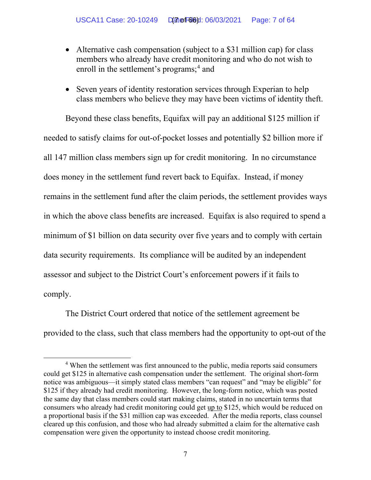- Alternative cash compensation (subject to a \$31 million cap) for class members who already have credit monitoring and who do not wish to enroll in the settlement's programs;<sup>[4](#page-62-0)</sup> and
- Seven years of identity restoration services through Experian to help class members who believe they may have been victims of identity theft.

Beyond these class benefits, Equifax will pay an additional \$125 million if needed to satisfy claims for out-of-pocket losses and potentially \$2 billion more if all 147 million class members sign up for credit monitoring. In no circumstance does money in the settlement fund revert back to Equifax. Instead, if money remains in the settlement fund after the claim periods, the settlement provides ways in which the above class benefits are increased. Equifax is also required to spend a minimum of \$1 billion on data security over five years and to comply with certain data security requirements. Its compliance will be audited by an independent assessor and subject to the District Court's enforcement powers if it fails to comply.

The District Court ordered that notice of the settlement agreement be provided to the class, such that class members had the opportunity to opt-out of the

<sup>&</sup>lt;sup>4</sup> When the settlement was first announced to the public, media reports said consumers could get \$125 in alternative cash compensation under the settlement. The original short-form notice was ambiguous—it simply stated class members "can request" and "may be eligible" for \$125 if they already had credit monitoring. However, the long-form notice, which was posted the same day that class members could start making claims, stated in no uncertain terms that consumers who already had credit monitoring could get up to \$125, which would be reduced on a proportional basis if the \$31 million cap was exceeded. After the media reports, class counsel cleared up this confusion, and those who had already submitted a claim for the alternative cash compensation were given the opportunity to instead choose credit monitoring.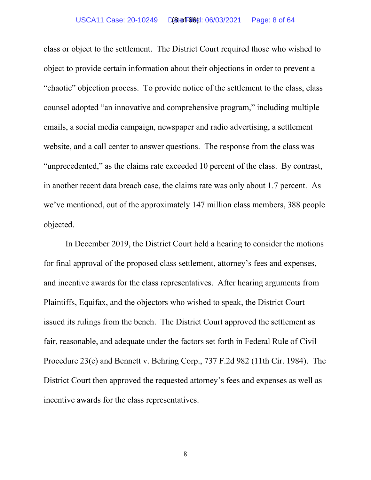class or object to the settlement. The District Court required those who wished to object to provide certain information about their objections in order to prevent a "chaotic" objection process. To provide notice of the settlement to the class, class counsel adopted "an innovative and comprehensive program," including multiple emails, a social media campaign, newspaper and radio advertising, a settlement website, and a call center to answer questions. The response from the class was "unprecedented," as the claims rate exceeded 10 percent of the class. By contrast, in another recent data breach case, the claims rate was only about 1.7 percent. As we've mentioned, out of the approximately 147 million class members, 388 people objected.

In December 2019, the District Court held a hearing to consider the motions for final approval of the proposed class settlement, attorney's fees and expenses, and incentive awards for the class representatives. After hearing arguments from Plaintiffs, Equifax, and the objectors who wished to speak, the District Court issued its rulings from the bench. The District Court approved the settlement as fair, reasonable, and adequate under the factors set forth in Federal Rule of Civil Procedure 23(e) and Bennett v. Behring Corp., 737 F.2d 982 (11th Cir. 1984). The District Court then approved the requested attorney's fees and expenses as well as incentive awards for the class representatives.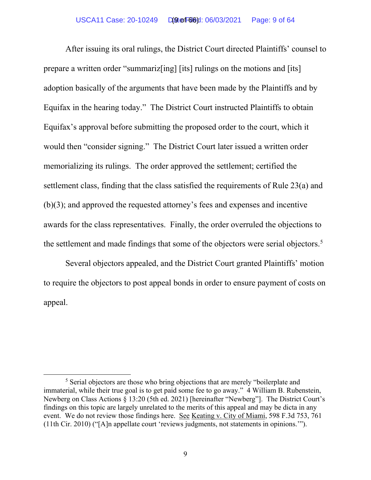After issuing its oral rulings, the District Court directed Plaintiffs' counsel to prepare a written order "summariz[ing] [its] rulings on the motions and [its] adoption basically of the arguments that have been made by the Plaintiffs and by Equifax in the hearing today." The District Court instructed Plaintiffs to obtain Equifax's approval before submitting the proposed order to the court, which it would then "consider signing." The District Court later issued a written order memorializing its rulings. The order approved the settlement; certified the settlement class, finding that the class satisfied the requirements of Rule 23(a) and (b)(3); and approved the requested attorney's fees and expenses and incentive awards for the class representatives. Finally, the order overruled the objections to the settlement and made findings that some of the objectors were serial objectors.<sup>[5](#page-62-0)</sup>

Several objectors appealed, and the District Court granted Plaintiffs' motion to require the objectors to post appeal bonds in order to ensure payment of costs on appeal.

<sup>&</sup>lt;sup>5</sup> Serial objectors are those who bring objections that are merely "boilerplate and immaterial, while their true goal is to get paid some fee to go away." 4 William B. Rubenstein, Newberg on Class Actions § 13:20 (5th ed. 2021) [hereinafter "Newberg"]. The District Court's findings on this topic are largely unrelated to the merits of this appeal and may be dicta in any event. We do not review those findings here. See Keating v. City of Miami, 598 F.3d 753, 761 (11th Cir. 2010) ("[A]n appellate court 'reviews judgments, not statements in opinions.'").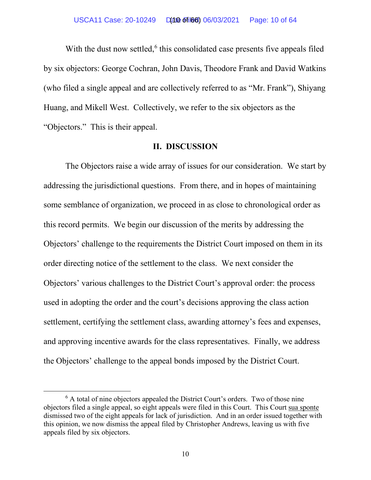With the dust now settled, $6$  this consolidated case presents five appeals filed by six objectors: George Cochran, John Davis, Theodore Frank and David Watkins (who filed a single appeal and are collectively referred to as "Mr. Frank"), Shiyang Huang, and Mikell West. Collectively, we refer to the six objectors as the "Objectors." This is their appeal.

### **II. DISCUSSION**

The Objectors raise a wide array of issues for our consideration. We start by addressing the jurisdictional questions. From there, and in hopes of maintaining some semblance of organization, we proceed in as close to chronological order as this record permits. We begin our discussion of the merits by addressing the Objectors' challenge to the requirements the District Court imposed on them in its order directing notice of the settlement to the class. We next consider the Objectors' various challenges to the District Court's approval order: the process used in adopting the order and the court's decisions approving the class action settlement, certifying the settlement class, awarding attorney's fees and expenses, and approving incentive awards for the class representatives. Finally, we address the Objectors' challenge to the appeal bonds imposed by the District Court.

<sup>&</sup>lt;sup>6</sup> A total of nine objectors appealed the District Court's orders. Two of those nine objectors filed a single appeal, so eight appeals were filed in this Court. This Court sua sponte dismissed two of the eight appeals for lack of jurisdiction. And in an order issued together with this opinion, we now dismiss the appeal filed by Christopher Andrews, leaving us with five appeals filed by six objectors.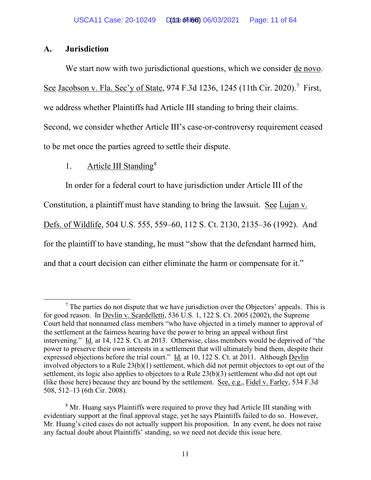## **A. Jurisdiction**

We start now with two jurisdictional questions, which we consider de novo. See Jacobson v. Fla. Sec'y of State, 974 F.3d 1236, 1245 (11th Cir. 2020).<sup>7</sup> First, we address whether Plaintiffs had Article III standing to bring their claims. Second, we consider whether Article III's case-or-controversy requirement ceased to be met once the parties agreed to settle their dispute.

# 1. Article III Standing<sup>[8](#page-62-0)</sup>

In order for a federal court to have jurisdiction under Article III of the Constitution, a plaintiff must have standing to bring the lawsuit. See Lujan v. Defs. of Wildlife, 504 U.S. 555, 559–60, 112 S. Ct. 2130, 2135–36 (1992). And for the plaintiff to have standing, he must "show that the defendant harmed him, and that a court decision can either eliminate the harm or compensate for it."

 $<sup>7</sup>$  The parties do not dispute that we have jurisdiction over the Objectors' appeals. This is</sup> for good reason. In Devlin v. Scardelletti, 536 U.S. 1, 122 S. Ct. 2005 (2002), the Supreme Court held that nonnamed class members "who have objected in a timely manner to approval of the settlement at the fairness hearing have the power to bring an appeal without first intervening." Id. at 14, 122 S. Ct. at 2013. Otherwise, class members would be deprived of "the power to preserve their own interests in a settlement that will ultimately bind them, despite their expressed objections before the trial court." Id. at 10, 122 S. Ct. at 2011. Although Devlin involved objectors to a Rule 23(b)(1) settlement, which did not permit objectors to opt out of the settlement, its logic also applies to objectors to a Rule 23(b)(3) settlement who did not opt out (like those here) because they are bound by the settlement. See, e.g., Fidel v. Farley, 534 F.3d 508, 512–13 (6th Cir. 2008).

<sup>&</sup>lt;sup>8</sup> Mr. Huang says Plaintiffs were required to prove they had Article III standing with evidentiary support at the final approval stage, yet he says Plaintiffs failed to do so. However, Mr. Huang's cited cases do not actually support his proposition. In any event, he does not raise any factual doubt about Plaintiffs' standing, so we need not decide this issue here.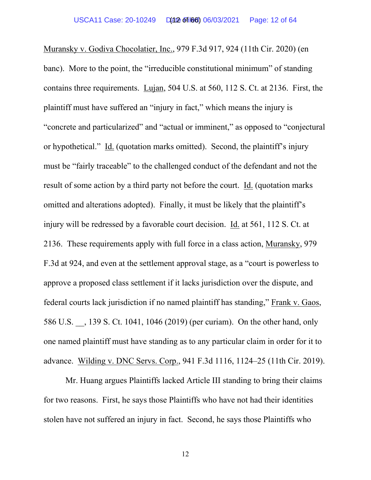Muransky v. Godiva Chocolatier, Inc., 979 F.3d 917, 924 (11th Cir. 2020) (en banc). More to the point, the "irreducible constitutional minimum" of standing contains three requirements. Lujan, 504 U.S. at 560, 112 S. Ct. at 2136. First, the plaintiff must have suffered an "injury in fact," which means the injury is "concrete and particularized" and "actual or imminent," as opposed to "conjectural or hypothetical." Id. (quotation marks omitted). Second, the plaintiff's injury must be "fairly traceable" to the challenged conduct of the defendant and not the result of some action by a third party not before the court. Id. (quotation marks omitted and alterations adopted). Finally, it must be likely that the plaintiff's injury will be redressed by a favorable court decision. Id. at 561, 112 S. Ct. at 2136. These requirements apply with full force in a class action, Muransky, 979 F.3d at 924, and even at the settlement approval stage, as a "court is powerless to approve a proposed class settlement if it lacks jurisdiction over the dispute, and federal courts lack jurisdiction if no named plaintiff has standing," Frank v. Gaos, 586 U.S. \_\_, 139 S. Ct. 1041, 1046 (2019) (per curiam). On the other hand, only one named plaintiff must have standing as to any particular claim in order for it to advance. Wilding v. DNC Servs. Corp., 941 F.3d 1116, 1124–25 (11th Cir. 2019).

Mr. Huang argues Plaintiffs lacked Article III standing to bring their claims for two reasons. First, he says those Plaintiffs who have not had their identities stolen have not suffered an injury in fact. Second, he says those Plaintiffs who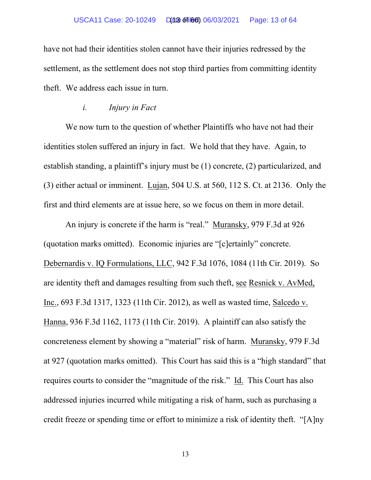#### USCA11 Case: 20-10249 D(at 6 of 166) 06/03/2021 Page: 13 of 64

have not had their identities stolen cannot have their injuries redressed by the settlement, as the settlement does not stop third parties from committing identity theft. We address each issue in turn.

### *i. Injury in Fact*

We now turn to the question of whether Plaintiffs who have not had their identities stolen suffered an injury in fact. We hold that they have. Again, to establish standing, a plaintiff's injury must be (1) concrete, (2) particularized, and (3) either actual or imminent. Lujan, 504 U.S. at 560, 112 S. Ct. at 2136. Only the first and third elements are at issue here, so we focus on them in more detail.

An injury is concrete if the harm is "real." Muransky, 979 F.3d at 926 (quotation marks omitted). Economic injuries are "[c]ertainly" concrete. Debernardis v. IQ Formulations, LLC, 942 F.3d 1076, 1084 (11th Cir. 2019). So are identity theft and damages resulting from such theft, see Resnick v. AvMed, Inc., 693 F.3d 1317, 1323 (11th Cir. 2012), as well as wasted time, Salcedo v. Hanna, 936 F.3d 1162, 1173 (11th Cir. 2019). A plaintiff can also satisfy the concreteness element by showing a "material" risk of harm. Muransky, 979 F.3d at 927 (quotation marks omitted). This Court has said this is a "high standard" that requires courts to consider the "magnitude of the risk." Id. This Court has also addressed injuries incurred while mitigating a risk of harm, such as purchasing a credit freeze or spending time or effort to minimize a risk of identity theft. "[A]ny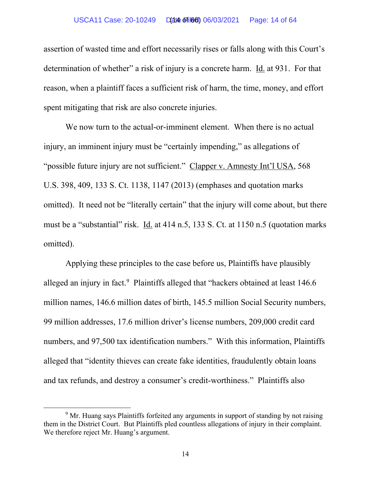#### USCA11 Case: 20-10249 D(at 6 of 166) 06/03/2021 Page: 14 of 64

assertion of wasted time and effort necessarily rises or falls along with this Court's determination of whether" a risk of injury is a concrete harm. Id. at 931. For that reason, when a plaintiff faces a sufficient risk of harm, the time, money, and effort spent mitigating that risk are also concrete injuries.

We now turn to the actual-or-imminent element. When there is no actual injury, an imminent injury must be "certainly impending," as allegations of "possible future injury are not sufficient." Clapper v. Amnesty Int'l USA, 568 U.S. 398, 409, 133 S. Ct. 1138, 1147 (2013) (emphases and quotation marks omitted). It need not be "literally certain" that the injury will come about, but there must be a "substantial" risk. Id. at 414 n.5, 133 S. Ct. at 1150 n.5 (quotation marks omitted).

Applying these principles to the case before us, Plaintiffs have plausibly alleged an injury in fact.<sup>[9](#page-62-0)</sup> Plaintiffs alleged that "hackers obtained at least  $146.6$ million names, 146.6 million dates of birth, 145.5 million Social Security numbers, 99 million addresses, 17.6 million driver's license numbers, 209,000 credit card numbers, and 97,500 tax identification numbers." With this information, Plaintiffs alleged that "identity thieves can create fake identities, fraudulently obtain loans and tax refunds, and destroy a consumer's credit-worthiness." Plaintiffs also

<sup>&</sup>lt;sup>9</sup> Mr. Huang says Plaintiffs forfeited any arguments in support of standing by not raising them in the District Court. But Plaintiffs pled countless allegations of injury in their complaint. We therefore reject Mr. Huang's argument.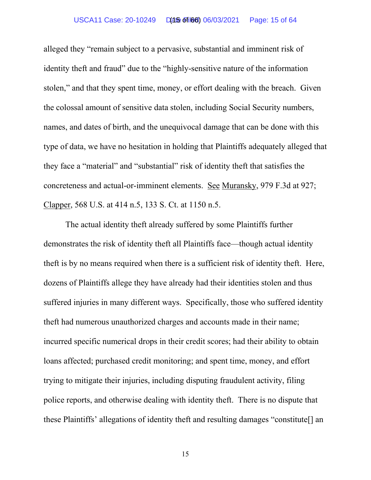#### USCA11 Case: 20-10249 Date Filed: 06/03/2021 Page: 15 of 64 (15 of 66)

alleged they "remain subject to a pervasive, substantial and imminent risk of identity theft and fraud" due to the "highly-sensitive nature of the information stolen," and that they spent time, money, or effort dealing with the breach. Given the colossal amount of sensitive data stolen, including Social Security numbers, names, and dates of birth, and the unequivocal damage that can be done with this type of data, we have no hesitation in holding that Plaintiffs adequately alleged that they face a "material" and "substantial" risk of identity theft that satisfies the concreteness and actual-or-imminent elements. See Muransky, 979 F.3d at 927; Clapper, 568 U.S. at 414 n.5, 133 S. Ct. at 1150 n.5.

The actual identity theft already suffered by some Plaintiffs further demonstrates the risk of identity theft all Plaintiffs face—though actual identity theft is by no means required when there is a sufficient risk of identity theft. Here, dozens of Plaintiffs allege they have already had their identities stolen and thus suffered injuries in many different ways. Specifically, those who suffered identity theft had numerous unauthorized charges and accounts made in their name; incurred specific numerical drops in their credit scores; had their ability to obtain loans affected; purchased credit monitoring; and spent time, money, and effort trying to mitigate their injuries, including disputing fraudulent activity, filing police reports, and otherwise dealing with identity theft. There is no dispute that these Plaintiffs' allegations of identity theft and resulting damages "constitute[] an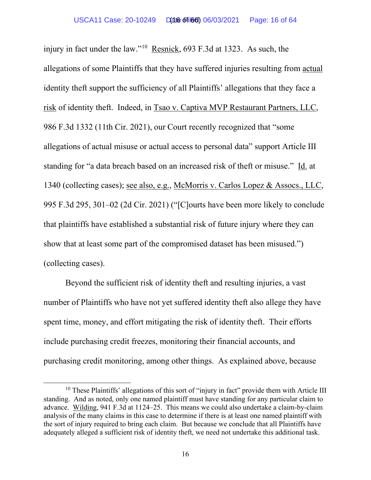injury in fact under the law."[10](#page-62-0) Resnick, 693 F.3d at 1323. As such, the allegations of some Plaintiffs that they have suffered injuries resulting from actual identity theft support the sufficiency of all Plaintiffs' allegations that they face a risk of identity theft. Indeed, in Tsao v. Captiva MVP Restaurant Partners, LLC, 986 F.3d 1332 (11th Cir. 2021), our Court recently recognized that "some allegations of actual misuse or actual access to personal data" support Article III standing for "a data breach based on an increased risk of theft or misuse." Id. at 1340 (collecting cases); see also, e.g., McMorris v. Carlos Lopez & Assocs., LLC, 995 F.3d 295, 301–02 (2d Cir. 2021) ("[C]ourts have been more likely to conclude that plaintiffs have established a substantial risk of future injury where they can show that at least some part of the compromised dataset has been misused.") (collecting cases).

Beyond the sufficient risk of identity theft and resulting injuries, a vast number of Plaintiffs who have not yet suffered identity theft also allege they have spent time, money, and effort mitigating the risk of identity theft. Their efforts include purchasing credit freezes, monitoring their financial accounts, and purchasing credit monitoring, among other things. As explained above, because

<sup>&</sup>lt;sup>10</sup> These Plaintiffs' allegations of this sort of "injury in fact" provide them with Article III standing. And as noted, only one named plaintiff must have standing for any particular claim to advance. Wilding, 941 F.3d at 1124–25. This means we could also undertake a claim-by-claim analysis of the many claims in this case to determine if there is at least one named plaintiff with the sort of injury required to bring each claim. But because we conclude that all Plaintiffs have adequately alleged a sufficient risk of identity theft, we need not undertake this additional task.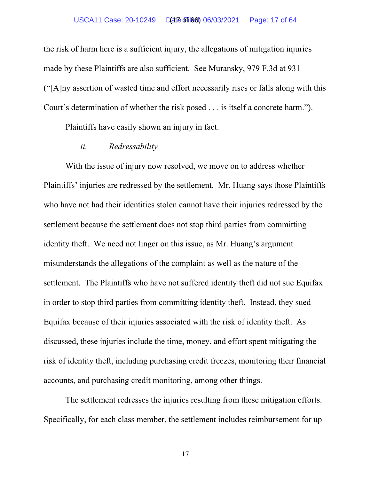the risk of harm here is a sufficient injury, the allegations of mitigation injuries made by these Plaintiffs are also sufficient. See Muransky, 979 F.3d at 931 ("[A]ny assertion of wasted time and effort necessarily rises or falls along with this Court's determination of whether the risk posed . . . is itself a concrete harm.").

Plaintiffs have easily shown an injury in fact.

### *ii. Redressability*

With the issue of injury now resolved, we move on to address whether Plaintiffs' injuries are redressed by the settlement. Mr. Huang says those Plaintiffs who have not had their identities stolen cannot have their injuries redressed by the settlement because the settlement does not stop third parties from committing identity theft. We need not linger on this issue, as Mr. Huang's argument misunderstands the allegations of the complaint as well as the nature of the settlement. The Plaintiffs who have not suffered identity theft did not sue Equifax in order to stop third parties from committing identity theft. Instead, they sued Equifax because of their injuries associated with the risk of identity theft. As discussed, these injuries include the time, money, and effort spent mitigating the risk of identity theft, including purchasing credit freezes, monitoring their financial accounts, and purchasing credit monitoring, among other things.

The settlement redresses the injuries resulting from these mitigation efforts. Specifically, for each class member, the settlement includes reimbursement for up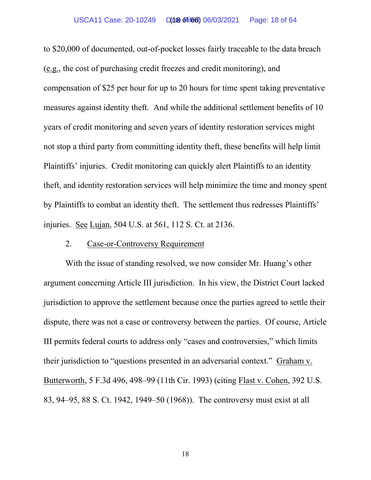#### USCA11 Case: 20-10249 D(at 6 of 166) 06/03/2021 Page: 18 of 64

to \$20,000 of documented, out-of-pocket losses fairly traceable to the data breach (e.g., the cost of purchasing credit freezes and credit monitoring), and compensation of \$25 per hour for up to 20 hours for time spent taking preventative measures against identity theft. And while the additional settlement benefits of 10 years of credit monitoring and seven years of identity restoration services might not stop a third party from committing identity theft, these benefits will help limit Plaintiffs' injuries. Credit monitoring can quickly alert Plaintiffs to an identity theft, and identity restoration services will help minimize the time and money spent by Plaintiffs to combat an identity theft. The settlement thus redresses Plaintiffs' injuries. See Lujan, 504 U.S. at 561, 112 S. Ct. at 2136.

# 2. Case-or-Controversy Requirement

With the issue of standing resolved, we now consider Mr. Huang's other argument concerning Article III jurisdiction. In his view, the District Court lacked jurisdiction to approve the settlement because once the parties agreed to settle their dispute, there was not a case or controversy between the parties. Of course, Article III permits federal courts to address only "cases and controversies," which limits their jurisdiction to "questions presented in an adversarial context." Graham v. Butterworth, 5 F.3d 496, 498–99 (11th Cir. 1993) (citing Flast v. Cohen, 392 U.S. 83, 94–95, 88 S. Ct. 1942, 1949–50 (1968)). The controversy must exist at all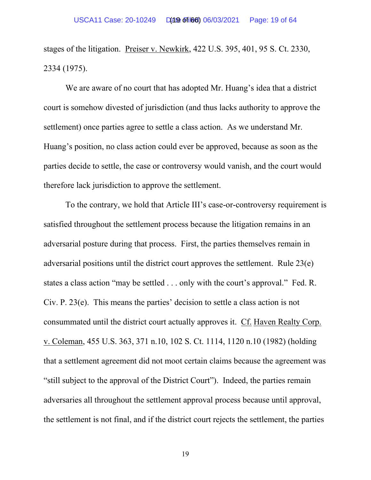stages of the litigation. Preiser v. Newkirk, 422 U.S. 395, 401, 95 S. Ct. 2330, 2334 (1975).

We are aware of no court that has adopted Mr. Huang's idea that a district court is somehow divested of jurisdiction (and thus lacks authority to approve the settlement) once parties agree to settle a class action. As we understand Mr. Huang's position, no class action could ever be approved, because as soon as the parties decide to settle, the case or controversy would vanish, and the court would therefore lack jurisdiction to approve the settlement.

To the contrary, we hold that Article III's case-or-controversy requirement is satisfied throughout the settlement process because the litigation remains in an adversarial posture during that process. First, the parties themselves remain in adversarial positions until the district court approves the settlement. Rule 23(e) states a class action "may be settled . . . only with the court's approval." Fed. R. Civ. P. 23(e). This means the parties' decision to settle a class action is not consummated until the district court actually approves it. Cf. Haven Realty Corp. v. Coleman, 455 U.S. 363, 371 n.10, 102 S. Ct. 1114, 1120 n.10 (1982) (holding that a settlement agreement did not moot certain claims because the agreement was "still subject to the approval of the District Court"). Indeed, the parties remain adversaries all throughout the settlement approval process because until approval, the settlement is not final, and if the district court rejects the settlement, the parties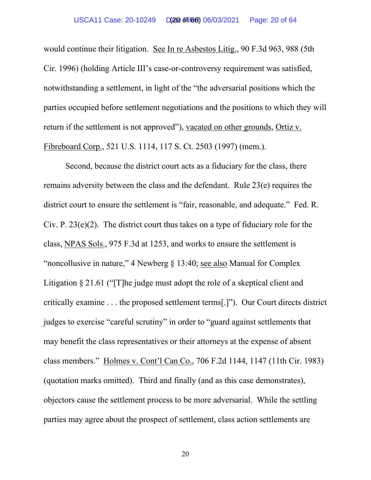would continue their litigation. See In re Asbestos Litig., 90 F.3d 963, 988 (5th Cir. 1996) (holding Article III's case-or-controversy requirement was satisfied, notwithstanding a settlement, in light of the "the adversarial positions which the parties occupied before settlement negotiations and the positions to which they will return if the settlement is not approved"), vacated on other grounds, Ortiz v. Fibreboard Corp., 521 U.S. 1114, 117 S. Ct. 2503 (1997) (mem.).

Second, because the district court acts as a fiduciary for the class, there remains adversity between the class and the defendant. Rule 23(e) requires the district court to ensure the settlement is "fair, reasonable, and adequate." Fed. R. Civ. P. 23(e)(2). The district court thus takes on a type of fiduciary role for the class, NPAS Sols., 975 F.3d at 1253, and works to ensure the settlement is "noncollusive in nature," 4 Newberg § 13:40; see also Manual for Complex Litigation § 21.61 ("The judge must adopt the role of a skeptical client and critically examine . . . the proposed settlement terms[.]"). Our Court directs district judges to exercise "careful scrutiny" in order to "guard against settlements that may benefit the class representatives or their attorneys at the expense of absent class members." Holmes v. Cont'l Can Co., 706 F.2d 1144, 1147 (11th Cir. 1983) (quotation marks omitted). Third and finally (and as this case demonstrates), objectors cause the settlement process to be more adversarial. While the settling parties may agree about the prospect of settlement, class action settlements are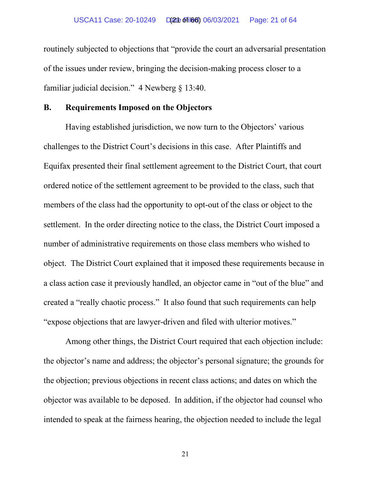routinely subjected to objections that "provide the court an adversarial presentation of the issues under review, bringing the decision-making process closer to a familiar judicial decision." 4 Newberg § 13:40.

# **B. Requirements Imposed on the Objectors**

Having established jurisdiction, we now turn to the Objectors' various challenges to the District Court's decisions in this case. After Plaintiffs and Equifax presented their final settlement agreement to the District Court, that court ordered notice of the settlement agreement to be provided to the class, such that members of the class had the opportunity to opt-out of the class or object to the settlement. In the order directing notice to the class, the District Court imposed a number of administrative requirements on those class members who wished to object. The District Court explained that it imposed these requirements because in a class action case it previously handled, an objector came in "out of the blue" and created a "really chaotic process." It also found that such requirements can help "expose objections that are lawyer-driven and filed with ulterior motives."

Among other things, the District Court required that each objection include: the objector's name and address; the objector's personal signature; the grounds for the objection; previous objections in recent class actions; and dates on which the objector was available to be deposed. In addition, if the objector had counsel who intended to speak at the fairness hearing, the objection needed to include the legal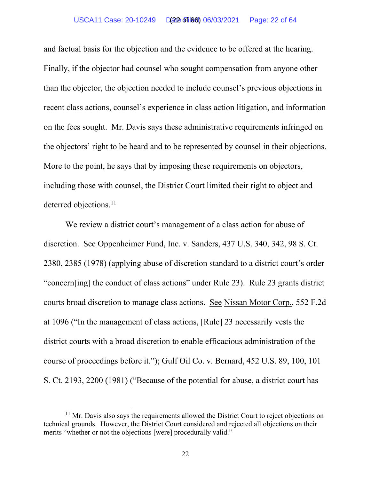#### USCA11 Case: 20-10249 Date Filed: 06/03/2021 Page: 22 of 64 (22 of 66)

and factual basis for the objection and the evidence to be offered at the hearing. Finally, if the objector had counsel who sought compensation from anyone other than the objector, the objection needed to include counsel's previous objections in recent class actions, counsel's experience in class action litigation, and information on the fees sought. Mr. Davis says these administrative requirements infringed on the objectors' right to be heard and to be represented by counsel in their objections. More to the point, he says that by imposing these requirements on objectors, including those with counsel, the District Court limited their right to object and deterred objections.<sup>[11](#page-62-0)</sup>

We review a district court's management of a class action for abuse of discretion. See Oppenheimer Fund, Inc. v. Sanders, 437 U.S. 340, 342, 98 S. Ct. 2380, 2385 (1978) (applying abuse of discretion standard to a district court's order "concern[ing] the conduct of class actions" under Rule 23). Rule 23 grants district courts broad discretion to manage class actions. See Nissan Motor Corp., 552 F.2d at 1096 ("In the management of class actions, [Rule] 23 necessarily vests the district courts with a broad discretion to enable efficacious administration of the course of proceedings before it."); Gulf Oil Co. v. Bernard, 452 U.S. 89, 100, 101 S. Ct. 2193, 2200 (1981) ("Because of the potential for abuse, a district court has

 $11$  Mr. Davis also says the requirements allowed the District Court to reject objections on technical grounds. However, the District Court considered and rejected all objections on their merits "whether or not the objections [were] procedurally valid."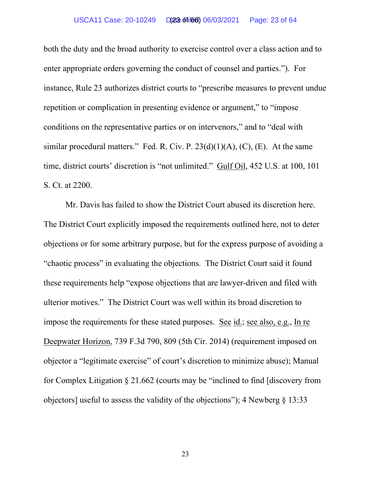#### USCA11 Case: 20-10249 D(23 of 166) 06/03/2021 Page: 23 of 64

both the duty and the broad authority to exercise control over a class action and to enter appropriate orders governing the conduct of counsel and parties."). For instance, Rule 23 authorizes district courts to "prescribe measures to prevent undue repetition or complication in presenting evidence or argument," to "impose conditions on the representative parties or on intervenors," and to "deal with similar procedural matters." Fed. R. Civ. P.  $23(d)(1)(A)$ , (C), (E). At the same time, district courts' discretion is "not unlimited." Gulf Oil, 452 U.S. at 100, 101 S. Ct. at 2200.

Mr. Davis has failed to show the District Court abused its discretion here. The District Court explicitly imposed the requirements outlined here, not to deter objections or for some arbitrary purpose, but for the express purpose of avoiding a "chaotic process" in evaluating the objections. The District Court said it found these requirements help "expose objections that are lawyer-driven and filed with ulterior motives." The District Court was well within its broad discretion to impose the requirements for these stated purposes. See id.; see also, e.g., In re Deepwater Horizon, 739 F.3d 790, 809 (5th Cir. 2014) (requirement imposed on objector a "legitimate exercise" of court's discretion to minimize abuse); Manual for Complex Litigation § 21.662 (courts may be "inclined to find [discovery from objectors] useful to assess the validity of the objections"); 4 Newberg  $\S$  13:33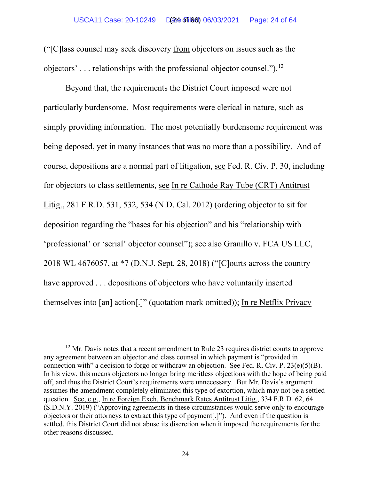("[C]lass counsel may seek discovery from objectors on issues such as the objectors'  $\ldots$  relationships with the professional objector counsel.").<sup>[12](#page-62-0)</sup>

Beyond that, the requirements the District Court imposed were not particularly burdensome. Most requirements were clerical in nature, such as simply providing information. The most potentially burdensome requirement was being deposed, yet in many instances that was no more than a possibility. And of course, depositions are a normal part of litigation, see Fed. R. Civ. P. 30, including for objectors to class settlements, see In re Cathode Ray Tube (CRT) Antitrust Litig., 281 F.R.D. 531, 532, 534 (N.D. Cal. 2012) (ordering objector to sit for deposition regarding the "bases for his objection" and his "relationship with 'professional' or 'serial' objector counsel"); see also Granillo v. FCA US LLC, 2018 WL 4676057, at \*7 (D.N.J. Sept. 28, 2018) ("[C]ourts across the country have approved ... depositions of objectors who have voluntarily inserted themselves into [an] action[.]" (quotation mark omitted)); In re Netflix Privacy

 $12$  Mr. Davis notes that a recent amendment to Rule 23 requires district courts to approve any agreement between an objector and class counsel in which payment is "provided in connection with" a decision to forgo or withdraw an objection. See Fed. R. Civ. P.  $23(e)(5)(B)$ . In his view, this means objectors no longer bring meritless objections with the hope of being paid off, and thus the District Court's requirements were unnecessary. But Mr. Davis's argument assumes the amendment completely eliminated this type of extortion, which may not be a settled question. See, e.g., In re Foreign Exch. Benchmark Rates Antitrust Litig., 334 F.R.D. 62, 64 (S.D.N.Y. 2019) ("Approving agreements in these circumstances would serve only to encourage objectors or their attorneys to extract this type of payment[.]"). And even if the question is settled, this District Court did not abuse its discretion when it imposed the requirements for the other reasons discussed.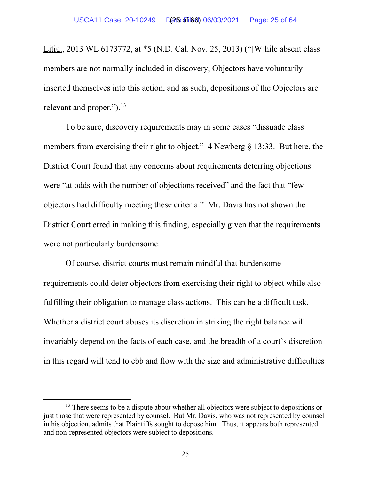Litig., 2013 WL 6173772, at \*5 (N.D. Cal. Nov. 25, 2013) ("[W]hile absent class members are not normally included in discovery, Objectors have voluntarily inserted themselves into this action, and as such, depositions of the Objectors are relevant and proper." $)$ .<sup>[13](#page-62-0)</sup>

To be sure, discovery requirements may in some cases "dissuade class members from exercising their right to object." 4 Newberg § 13:33. But here, the District Court found that any concerns about requirements deterring objections were "at odds with the number of objections received" and the fact that "few objectors had difficulty meeting these criteria." Mr. Davis has not shown the District Court erred in making this finding, especially given that the requirements were not particularly burdensome.

Of course, district courts must remain mindful that burdensome requirements could deter objectors from exercising their right to object while also fulfilling their obligation to manage class actions. This can be a difficult task. Whether a district court abuses its discretion in striking the right balance will invariably depend on the facts of each case, and the breadth of a court's discretion in this regard will tend to ebb and flow with the size and administrative difficulties

 $13$  There seems to be a dispute about whether all objectors were subject to depositions or just those that were represented by counsel. But Mr. Davis, who was not represented by counsel in his objection, admits that Plaintiffs sought to depose him. Thus, it appears both represented and non-represented objectors were subject to depositions.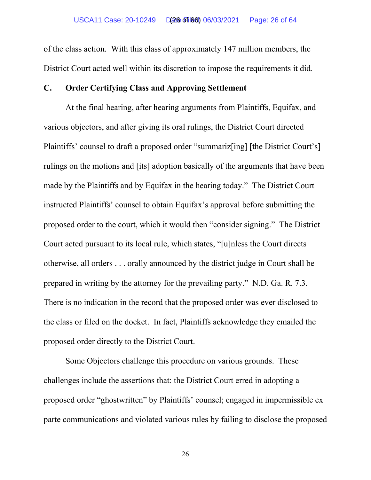of the class action. With this class of approximately 147 million members, the District Court acted well within its discretion to impose the requirements it did.

# **C. Order Certifying Class and Approving Settlement**

At the final hearing, after hearing arguments from Plaintiffs, Equifax, and various objectors, and after giving its oral rulings, the District Court directed Plaintiffs' counsel to draft a proposed order "summariz[ing] [the District Court's] rulings on the motions and [its] adoption basically of the arguments that have been made by the Plaintiffs and by Equifax in the hearing today." The District Court instructed Plaintiffs' counsel to obtain Equifax's approval before submitting the proposed order to the court, which it would then "consider signing." The District Court acted pursuant to its local rule, which states, "[u]nless the Court directs otherwise, all orders . . . orally announced by the district judge in Court shall be prepared in writing by the attorney for the prevailing party." N.D. Ga. R. 7.3. There is no indication in the record that the proposed order was ever disclosed to the class or filed on the docket. In fact, Plaintiffs acknowledge they emailed the proposed order directly to the District Court.

Some Objectors challenge this procedure on various grounds. These challenges include the assertions that: the District Court erred in adopting a proposed order "ghostwritten" by Plaintiffs' counsel; engaged in impermissible ex parte communications and violated various rules by failing to disclose the proposed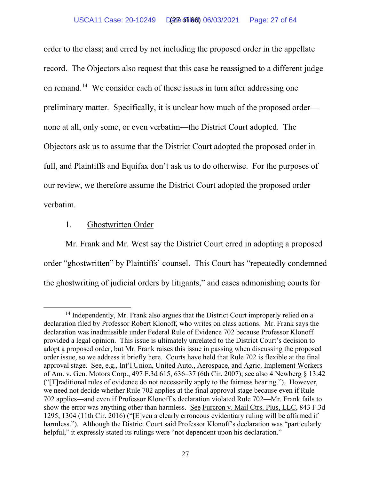#### USCA11 Case: 20-10249 Date Filed: 06/03/2021 Page: 27 of 64 (27 of 66)

order to the class; and erred by not including the proposed order in the appellate record. The Objectors also request that this case be reassigned to a different judge on remand[.14](#page-62-0) We consider each of these issues in turn after addressing one preliminary matter. Specifically, it is unclear how much of the proposed order none at all, only some, or even verbatim—the District Court adopted. The Objectors ask us to assume that the District Court adopted the proposed order in full, and Plaintiffs and Equifax don't ask us to do otherwise. For the purposes of our review, we therefore assume the District Court adopted the proposed order verbatim.

# 1. Ghostwritten Order

Mr. Frank and Mr. West say the District Court erred in adopting a proposed order "ghostwritten" by Plaintiffs' counsel. This Court has "repeatedly condemned the ghostwriting of judicial orders by litigants," and cases admonishing courts for

<sup>&</sup>lt;sup>14</sup> Independently, Mr. Frank also argues that the District Court improperly relied on a declaration filed by Professor Robert Klonoff, who writes on class actions. Mr. Frank says the declaration was inadmissible under Federal Rule of Evidence 702 because Professor Klonoff provided a legal opinion. This issue is ultimately unrelated to the District Court's decision to adopt a proposed order, but Mr. Frank raises this issue in passing when discussing the proposed order issue, so we address it briefly here. Courts have held that Rule 702 is flexible at the final approval stage. See, e.g., Int'l Union, United Auto., Aerospace, and Agric. Implement Workers of Am. v. Gen. Motors Corp., 497 F.3d 615, 636–37 (6th Cir. 2007); see also 4 Newberg § 13:42 ("[T]raditional rules of evidence do not necessarily apply to the fairness hearing."). However, we need not decide whether Rule 702 applies at the final approval stage because even if Rule 702 applies—and even if Professor Klonoff's declaration violated Rule 702—Mr. Frank fails to show the error was anything other than harmless. See Furcron v. Mail Ctrs. Plus, LLC, 843 F.3d 1295, 1304 (11th Cir. 2016) ("[E]ven a clearly erroneous evidentiary ruling will be affirmed if harmless."). Although the District Court said Professor Klonoff's declaration was "particularly helpful," it expressly stated its rulings were "not dependent upon his declaration."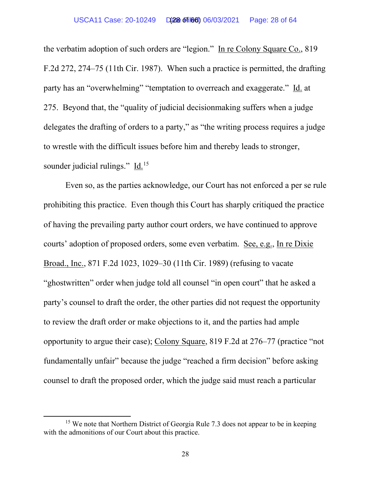the verbatim adoption of such orders are "legion." In re Colony Square Co., 819 F.2d 272, 274–75 (11th Cir. 1987). When such a practice is permitted, the drafting party has an "overwhelming" "temptation to overreach and exaggerate." Id. at 275. Beyond that, the "quality of judicial decisionmaking suffers when a judge delegates the drafting of orders to a party," as "the writing process requires a judge to wrestle with the difficult issues before him and thereby leads to stronger, sounder judicial rulings." Id.<sup>15</sup>

Even so, as the parties acknowledge, our Court has not enforced a per se rule prohibiting this practice. Even though this Court has sharply critiqued the practice of having the prevailing party author court orders, we have continued to approve courts' adoption of proposed orders, some even verbatim. See, e.g., In re Dixie Broad., Inc., 871 F.2d 1023, 1029–30 (11th Cir. 1989) (refusing to vacate "ghostwritten" order when judge told all counsel "in open court" that he asked a party's counsel to draft the order, the other parties did not request the opportunity to review the draft order or make objections to it, and the parties had ample opportunity to argue their case); Colony Square, 819 F.2d at 276–77 (practice "not fundamentally unfair" because the judge "reached a firm decision" before asking counsel to draft the proposed order, which the judge said must reach a particular

<sup>&</sup>lt;sup>15</sup> We note that Northern District of Georgia Rule 7.3 does not appear to be in keeping with the admonitions of our Court about this practice.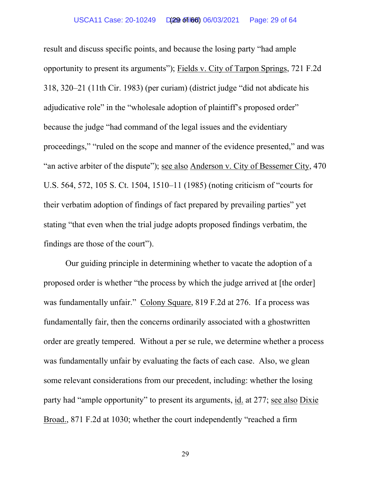result and discuss specific points, and because the losing party "had ample opportunity to present its arguments"); Fields v. City of Tarpon Springs, 721 F.2d 318, 320–21 (11th Cir. 1983) (per curiam) (district judge "did not abdicate his adjudicative role" in the "wholesale adoption of plaintiff's proposed order" because the judge "had command of the legal issues and the evidentiary proceedings," "ruled on the scope and manner of the evidence presented," and was "an active arbiter of the dispute"); see also Anderson v. City of Bessemer City, 470 U.S. 564, 572, 105 S. Ct. 1504, 1510–11 (1985) (noting criticism of "courts for their verbatim adoption of findings of fact prepared by prevailing parties" yet stating "that even when the trial judge adopts proposed findings verbatim, the findings are those of the court").

Our guiding principle in determining whether to vacate the adoption of a proposed order is whether "the process by which the judge arrived at [the order] was fundamentally unfair." Colony Square, 819 F.2d at 276. If a process was fundamentally fair, then the concerns ordinarily associated with a ghostwritten order are greatly tempered. Without a per se rule, we determine whether a process was fundamentally unfair by evaluating the facts of each case. Also, we glean some relevant considerations from our precedent, including: whether the losing party had "ample opportunity" to present its arguments, id. at 277; see also Dixie Broad., 871 F.2d at 1030; whether the court independently "reached a firm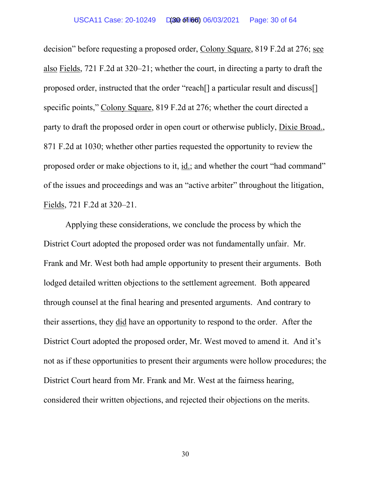decision" before requesting a proposed order, Colony Square, 819 F.2d at 276; see also Fields, 721 F.2d at 320–21; whether the court, in directing a party to draft the proposed order, instructed that the order "reach[] a particular result and discuss[] specific points," Colony Square, 819 F.2d at 276; whether the court directed a party to draft the proposed order in open court or otherwise publicly, Dixie Broad., 871 F.2d at 1030; whether other parties requested the opportunity to review the proposed order or make objections to it, id.; and whether the court "had command" of the issues and proceedings and was an "active arbiter" throughout the litigation, Fields, 721 F.2d at 320–21.

Applying these considerations, we conclude the process by which the District Court adopted the proposed order was not fundamentally unfair. Mr. Frank and Mr. West both had ample opportunity to present their arguments. Both lodged detailed written objections to the settlement agreement. Both appeared through counsel at the final hearing and presented arguments. And contrary to their assertions, they did have an opportunity to respond to the order. After the District Court adopted the proposed order, Mr. West moved to amend it. And it's not as if these opportunities to present their arguments were hollow procedures; the District Court heard from Mr. Frank and Mr. West at the fairness hearing, considered their written objections, and rejected their objections on the merits.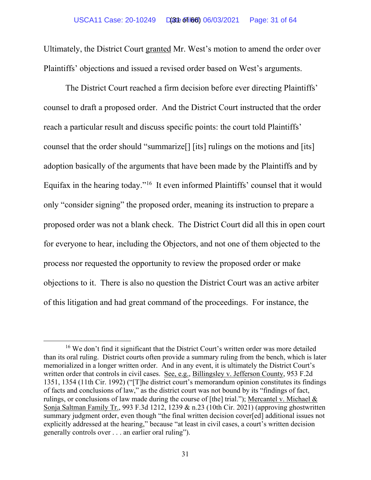Ultimately, the District Court granted Mr. West's motion to amend the order over Plaintiffs' objections and issued a revised order based on West's arguments.

The District Court reached a firm decision before ever directing Plaintiffs' counsel to draft a proposed order. And the District Court instructed that the order reach a particular result and discuss specific points: the court told Plaintiffs' counsel that the order should "summarize[] [its] rulings on the motions and [its] adoption basically of the arguments that have been made by the Plaintiffs and by Equifax in the hearing today."[16](#page-62-0) It even informed Plaintiffs' counsel that it would only "consider signing" the proposed order, meaning its instruction to prepare a proposed order was not a blank check. The District Court did all this in open court for everyone to hear, including the Objectors, and not one of them objected to the process nor requested the opportunity to review the proposed order or make objections to it. There is also no question the District Court was an active arbiter of this litigation and had great command of the proceedings. For instance, the

<sup>&</sup>lt;sup>16</sup> We don't find it significant that the District Court's written order was more detailed than its oral ruling. District courts often provide a summary ruling from the bench, which is later memorialized in a longer written order. And in any event, it is ultimately the District Court's written order that controls in civil cases. See, e.g., Billingsley v. Jefferson County, 953 F.2d 1351, 1354 (11th Cir. 1992) ("[T]he district court's memorandum opinion constitutes its findings of facts and conclusions of law," as the district court was not bound by its "findings of fact, rulings, or conclusions of law made during the course of [the] trial."); Mercantel v. Michael & Sonja Saltman Family Tr., 993 F.3d 1212, 1239 & n.23 (10th Cir. 2021) (approving ghostwritten summary judgment order, even though "the final written decision cover[ed] additional issues not explicitly addressed at the hearing," because "at least in civil cases, a court's written decision generally controls over . . . an earlier oral ruling").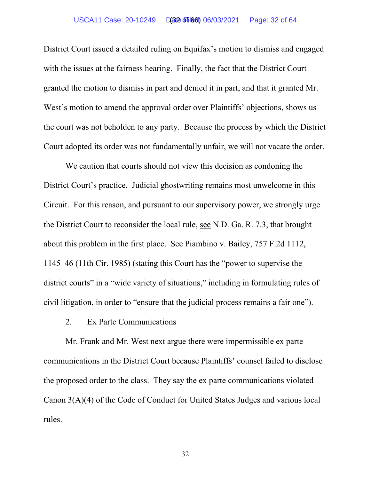#### USCA11 Case: 20-10249 D(32 of 166) 06/03/2021 Page: 32 of 64

District Court issued a detailed ruling on Equifax's motion to dismiss and engaged with the issues at the fairness hearing. Finally, the fact that the District Court granted the motion to dismiss in part and denied it in part, and that it granted Mr. West's motion to amend the approval order over Plaintiffs' objections, shows us the court was not beholden to any party. Because the process by which the District Court adopted its order was not fundamentally unfair, we will not vacate the order.

We caution that courts should not view this decision as condoning the District Court's practice. Judicial ghostwriting remains most unwelcome in this Circuit. For this reason, and pursuant to our supervisory power, we strongly urge the District Court to reconsider the local rule, see N.D. Ga. R. 7.3, that brought about this problem in the first place. See Piambino v. Bailey, 757 F.2d 1112, 1145–46 (11th Cir. 1985) (stating this Court has the "power to supervise the district courts" in a "wide variety of situations," including in formulating rules of civil litigation, in order to "ensure that the judicial process remains a fair one").

2. Ex Parte Communications

Mr. Frank and Mr. West next argue there were impermissible ex parte communications in the District Court because Plaintiffs' counsel failed to disclose the proposed order to the class. They say the ex parte communications violated Canon 3(A)(4) of the Code of Conduct for United States Judges and various local rules.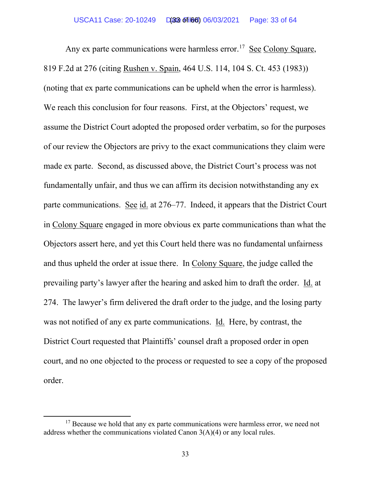Any ex parte communications were harmless error.<sup>[17](#page-62-0)</sup> See Colony Square, 819 F.2d at 276 (citing Rushen v. Spain, 464 U.S. 114, 104 S. Ct. 453 (1983)) (noting that ex parte communications can be upheld when the error is harmless). We reach this conclusion for four reasons. First, at the Objectors' request, we assume the District Court adopted the proposed order verbatim, so for the purposes of our review the Objectors are privy to the exact communications they claim were made ex parte. Second, as discussed above, the District Court's process was not fundamentally unfair, and thus we can affirm its decision notwithstanding any ex parte communications. See id. at 276–77. Indeed, it appears that the District Court in Colony Square engaged in more obvious ex parte communications than what the Objectors assert here, and yet this Court held there was no fundamental unfairness and thus upheld the order at issue there. In Colony Square, the judge called the prevailing party's lawyer after the hearing and asked him to draft the order. Id. at 274. The lawyer's firm delivered the draft order to the judge, and the losing party was not notified of any ex parte communications. Id. Here, by contrast, the District Court requested that Plaintiffs' counsel draft a proposed order in open court, and no one objected to the process or requested to see a copy of the proposed order.

<sup>&</sup>lt;sup>17</sup> Because we hold that any ex parte communications were harmless error, we need not address whether the communications violated Canon 3(A)(4) or any local rules.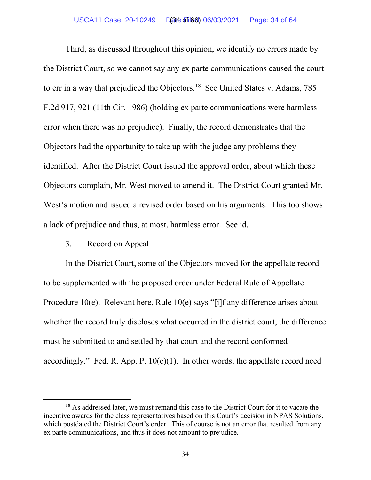Third, as discussed throughout this opinion, we identify no errors made by the District Court, so we cannot say any ex parte communications caused the court to err in a way that prejudiced the Objectors.<sup>18</sup> See United States v. Adams, 785 F.2d 917, 921 (11th Cir. 1986) (holding ex parte communications were harmless error when there was no prejudice). Finally, the record demonstrates that the Objectors had the opportunity to take up with the judge any problems they identified. After the District Court issued the approval order, about which these Objectors complain, Mr. West moved to amend it. The District Court granted Mr. West's motion and issued a revised order based on his arguments. This too shows a lack of prejudice and thus, at most, harmless error. See id.

# 3. Record on Appeal

In the District Court, some of the Objectors moved for the appellate record to be supplemented with the proposed order under Federal Rule of Appellate Procedure 10(e). Relevant here, Rule 10(e) says "[i]f any difference arises about whether the record truly discloses what occurred in the district court, the difference must be submitted to and settled by that court and the record conformed accordingly." Fed. R. App. P.  $10(e)(1)$ . In other words, the appellate record need

 $18$  As addressed later, we must remand this case to the District Court for it to vacate the incentive awards for the class representatives based on this Court's decision in NPAS Solutions, which postdated the District Court's order. This of course is not an error that resulted from any ex parte communications, and thus it does not amount to prejudice.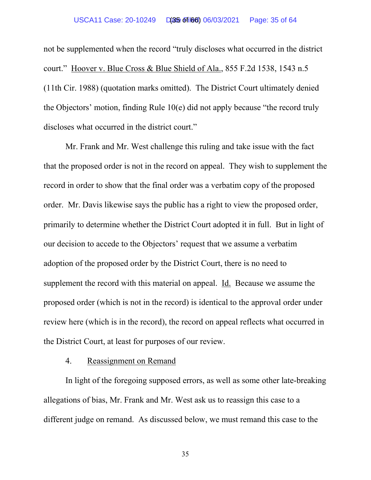not be supplemented when the record "truly discloses what occurred in the district court." Hoover v. Blue Cross & Blue Shield of Ala., 855 F.2d 1538, 1543 n.5 (11th Cir. 1988) (quotation marks omitted). The District Court ultimately denied the Objectors' motion, finding Rule 10(e) did not apply because "the record truly discloses what occurred in the district court."

Mr. Frank and Mr. West challenge this ruling and take issue with the fact that the proposed order is not in the record on appeal. They wish to supplement the record in order to show that the final order was a verbatim copy of the proposed order. Mr. Davis likewise says the public has a right to view the proposed order, primarily to determine whether the District Court adopted it in full. But in light of our decision to accede to the Objectors' request that we assume a verbatim adoption of the proposed order by the District Court, there is no need to supplement the record with this material on appeal. Id. Because we assume the proposed order (which is not in the record) is identical to the approval order under review here (which is in the record), the record on appeal reflects what occurred in the District Court, at least for purposes of our review.

### 4. Reassignment on Remand

In light of the foregoing supposed errors, as well as some other late-breaking allegations of bias, Mr. Frank and Mr. West ask us to reassign this case to a different judge on remand. As discussed below, we must remand this case to the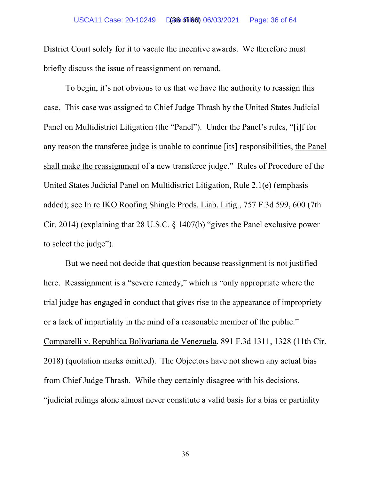District Court solely for it to vacate the incentive awards. We therefore must briefly discuss the issue of reassignment on remand.

To begin, it's not obvious to us that we have the authority to reassign this case. This case was assigned to Chief Judge Thrash by the United States Judicial Panel on Multidistrict Litigation (the "Panel"). Under the Panel's rules, "[i]f for any reason the transferee judge is unable to continue [its] responsibilities, the Panel shall make the reassignment of a new transferee judge." Rules of Procedure of the United States Judicial Panel on Multidistrict Litigation, Rule 2.1(e) (emphasis added); see In re IKO Roofing Shingle Prods. Liab. Litig., 757 F.3d 599, 600 (7th Cir. 2014) (explaining that 28 U.S.C. § 1407(b) "gives the Panel exclusive power to select the judge").

But we need not decide that question because reassignment is not justified here. Reassignment is a "severe remedy," which is "only appropriate where the trial judge has engaged in conduct that gives rise to the appearance of impropriety or a lack of impartiality in the mind of a reasonable member of the public." Comparelli v. Republica Bolivariana de Venezuela, 891 F.3d 1311, 1328 (11th Cir. 2018) (quotation marks omitted). The Objectors have not shown any actual bias from Chief Judge Thrash. While they certainly disagree with his decisions, "judicial rulings alone almost never constitute a valid basis for a bias or partiality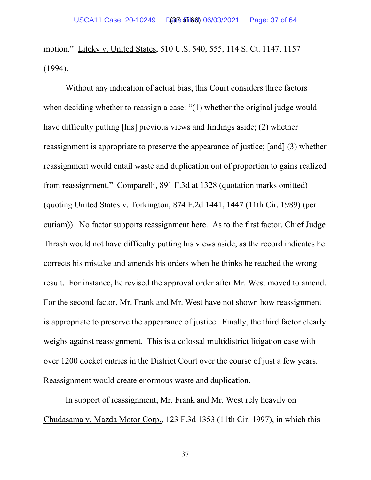motion." Liteky v. United States, 510 U.S. 540, 555, 114 S. Ct. 1147, 1157 (1994).

Without any indication of actual bias, this Court considers three factors when deciding whether to reassign a case: "(1) whether the original judge would have difficulty putting [his] previous views and findings aside; (2) whether reassignment is appropriate to preserve the appearance of justice; [and] (3) whether reassignment would entail waste and duplication out of proportion to gains realized from reassignment." Comparelli, 891 F.3d at 1328 (quotation marks omitted) (quoting United States v. Torkington, 874 F.2d 1441, 1447 (11th Cir. 1989) (per curiam)). No factor supports reassignment here. As to the first factor, Chief Judge Thrash would not have difficulty putting his views aside, as the record indicates he corrects his mistake and amends his orders when he thinks he reached the wrong result. For instance, he revised the approval order after Mr. West moved to amend. For the second factor, Mr. Frank and Mr. West have not shown how reassignment is appropriate to preserve the appearance of justice. Finally, the third factor clearly weighs against reassignment. This is a colossal multidistrict litigation case with over 1200 docket entries in the District Court over the course of just a few years. Reassignment would create enormous waste and duplication.

In support of reassignment, Mr. Frank and Mr. West rely heavily on Chudasama v. Mazda Motor Corp., 123 F.3d 1353 (11th Cir. 1997), in which this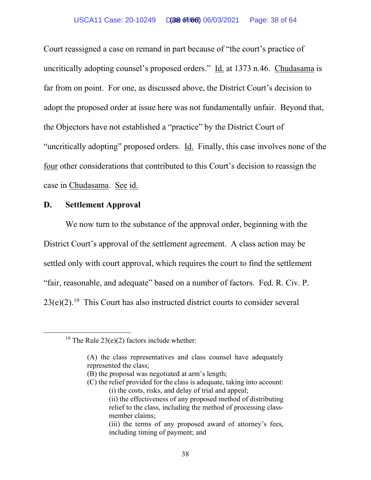#### USCA11 Case: 20-10249 D(38 of 166) 06/03/2021 Page: 38 of 64

Court reassigned a case on remand in part because of "the court's practice of uncritically adopting counsel's proposed orders." Id. at 1373 n.46. Chudasama is far from on point. For one, as discussed above, the District Court's decision to adopt the proposed order at issue here was not fundamentally unfair. Beyond that, the Objectors have not established a "practice" by the District Court of "uncritically adopting" proposed orders. Id. Finally, this case involves none of the four other considerations that contributed to this Court's decision to reassign the case in Chudasama. See id.

### **D. Settlement Approval**

We now turn to the substance of the approval order, beginning with the District Court's approval of the settlement agreement. A class action may be settled only with court approval, which requires the court to find the settlement "fair, reasonable, and adequate" based on a number of factors. Fed. R. Civ. P.  $23(e)(2)$ .<sup>[19](#page-62-0)</sup> This Court has also instructed district courts to consider several

(C) the relief provided for the class is adequate, taking into account:

<sup>&</sup>lt;sup>19</sup> The Rule  $23(e)(2)$  factors include whether:

<sup>(</sup>A) the class representatives and class counsel have adequately represented the class;

<sup>(</sup>B) the proposal was negotiated at arm's length;

<sup>(</sup>i) the costs, risks, and delay of trial and appeal;

<sup>(</sup>ii) the effectiveness of any proposed method of distributing relief to the class, including the method of processing classmember claims;

<sup>(</sup>iii) the terms of any proposed award of attorney's fees, including timing of payment; and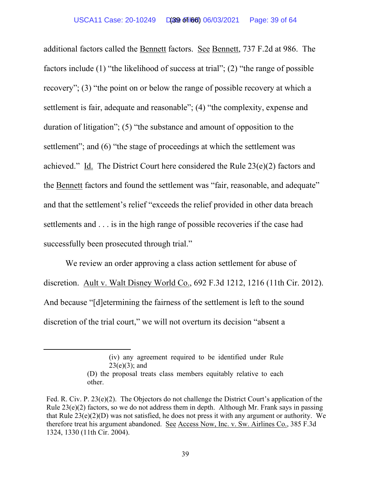additional factors called the Bennett factors. See Bennett, 737 F.2d at 986. The factors include (1) "the likelihood of success at trial"; (2) "the range of possible recovery"; (3) "the point on or below the range of possible recovery at which a settlement is fair, adequate and reasonable"; (4) "the complexity, expense and duration of litigation"; (5) "the substance and amount of opposition to the settlement"; and (6) "the stage of proceedings at which the settlement was achieved." Id. The District Court here considered the Rule 23(e)(2) factors and the Bennett factors and found the settlement was "fair, reasonable, and adequate" and that the settlement's relief "exceeds the relief provided in other data breach settlements and . . . is in the high range of possible recoveries if the case had successfully been prosecuted through trial."

We review an order approving a class action settlement for abuse of discretion. Ault v. Walt Disney World Co., 692 F.3d 1212, 1216 (11th Cir. 2012). And because "[d]etermining the fairness of the settlement is left to the sound discretion of the trial court," we will not overturn its decision "absent a

<sup>(</sup>iv) any agreement required to be identified under Rule  $23(e)(3)$ ; and

<sup>(</sup>D) the proposal treats class members equitably relative to each other.

Fed. R. Civ. P. 23(e)(2). The Objectors do not challenge the District Court's application of the Rule  $23(e)(2)$  factors, so we do not address them in depth. Although Mr. Frank says in passing that Rule 23(e)(2)(D) was not satisfied, he does not press it with any argument or authority. We therefore treat his argument abandoned. See Access Now, Inc. v. Sw. Airlines Co., 385 F.3d 1324, 1330 (11th Cir. 2004).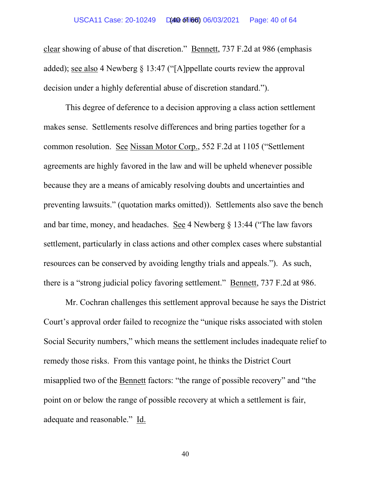clear showing of abuse of that discretion." Bennett, 737 F.2d at 986 (emphasis added); see also 4 Newberg § 13:47 ("[A]ppellate courts review the approval decision under a highly deferential abuse of discretion standard.").

This degree of deference to a decision approving a class action settlement makes sense. Settlements resolve differences and bring parties together for a common resolution. See Nissan Motor Corp., 552 F.2d at 1105 ("Settlement agreements are highly favored in the law and will be upheld whenever possible because they are a means of amicably resolving doubts and uncertainties and preventing lawsuits." (quotation marks omitted)). Settlements also save the bench and bar time, money, and headaches. See 4 Newberg § 13:44 ("The law favors settlement, particularly in class actions and other complex cases where substantial resources can be conserved by avoiding lengthy trials and appeals."). As such, there is a "strong judicial policy favoring settlement." Bennett, 737 F.2d at 986.

Mr. Cochran challenges this settlement approval because he says the District Court's approval order failed to recognize the "unique risks associated with stolen Social Security numbers," which means the settlement includes inadequate relief to remedy those risks. From this vantage point, he thinks the District Court misapplied two of the Bennett factors: "the range of possible recovery" and "the point on or below the range of possible recovery at which a settlement is fair, adequate and reasonable." Id.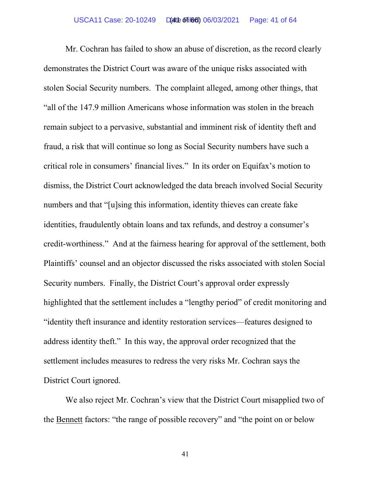Mr. Cochran has failed to show an abuse of discretion, as the record clearly demonstrates the District Court was aware of the unique risks associated with stolen Social Security numbers. The complaint alleged, among other things, that "all of the 147.9 million Americans whose information was stolen in the breach remain subject to a pervasive, substantial and imminent risk of identity theft and fraud, a risk that will continue so long as Social Security numbers have such a critical role in consumers' financial lives." In its order on Equifax's motion to dismiss, the District Court acknowledged the data breach involved Social Security numbers and that "[u]sing this information, identity thieves can create fake identities, fraudulently obtain loans and tax refunds, and destroy a consumer's credit-worthiness." And at the fairness hearing for approval of the settlement, both Plaintiffs' counsel and an objector discussed the risks associated with stolen Social Security numbers. Finally, the District Court's approval order expressly highlighted that the settlement includes a "lengthy period" of credit monitoring and "identity theft insurance and identity restoration services—features designed to address identity theft." In this way, the approval order recognized that the settlement includes measures to redress the very risks Mr. Cochran says the District Court ignored.

We also reject Mr. Cochran's view that the District Court misapplied two of the Bennett factors: "the range of possible recovery" and "the point on or below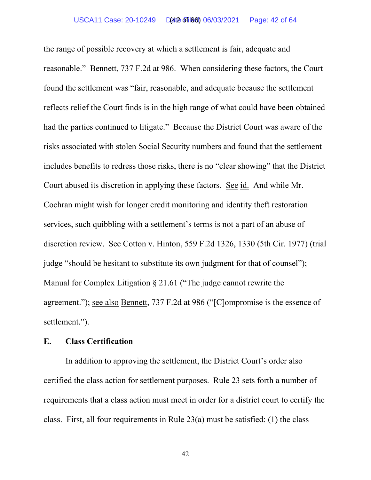#### USCA11 Case: 20-10249 Date Filed: 06/03/2021 Page: 42 of 64 (42 of 66)

the range of possible recovery at which a settlement is fair, adequate and reasonable." Bennett, 737 F.2d at 986. When considering these factors, the Court found the settlement was "fair, reasonable, and adequate because the settlement reflects relief the Court finds is in the high range of what could have been obtained had the parties continued to litigate." Because the District Court was aware of the risks associated with stolen Social Security numbers and found that the settlement includes benefits to redress those risks, there is no "clear showing" that the District Court abused its discretion in applying these factors. See id. And while Mr. Cochran might wish for longer credit monitoring and identity theft restoration services, such quibbling with a settlement's terms is not a part of an abuse of discretion review. See Cotton v. Hinton, 559 F.2d 1326, 1330 (5th Cir. 1977) (trial judge "should be hesitant to substitute its own judgment for that of counsel"); Manual for Complex Litigation § 21.61 ("The judge cannot rewrite the agreement."); see also Bennett, 737 F.2d at 986 ("[C]ompromise is the essence of settlement.").

### **E. Class Certification**

In addition to approving the settlement, the District Court's order also certified the class action for settlement purposes. Rule 23 sets forth a number of requirements that a class action must meet in order for a district court to certify the class. First, all four requirements in Rule  $23(a)$  must be satisfied: (1) the class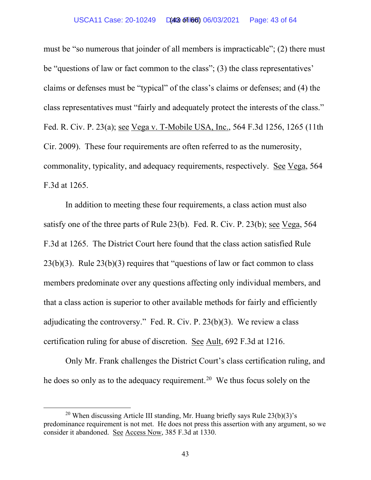must be "so numerous that joinder of all members is impracticable"; (2) there must be "questions of law or fact common to the class"; (3) the class representatives' claims or defenses must be "typical" of the class's claims or defenses; and (4) the class representatives must "fairly and adequately protect the interests of the class." Fed. R. Civ. P. 23(a); see Vega v. T-Mobile USA, Inc., 564 F.3d 1256, 1265 (11th Cir. 2009). These four requirements are often referred to as the numerosity, commonality, typicality, and adequacy requirements, respectively. See Vega, 564 F.3d at 1265.

In addition to meeting these four requirements, a class action must also satisfy one of the three parts of Rule 23(b). Fed. R. Civ. P. 23(b); see Vega, 564 F.3d at 1265. The District Court here found that the class action satisfied Rule  $23(b)(3)$ . Rule  $23(b)(3)$  requires that "questions of law or fact common to class members predominate over any questions affecting only individual members, and that a class action is superior to other available methods for fairly and efficiently adjudicating the controversy." Fed. R. Civ. P. 23(b)(3). We review a class certification ruling for abuse of discretion. See Ault, 692 F.3d at 1216.

Only Mr. Frank challenges the District Court's class certification ruling, and he does so only as to the adequacy requirement.<sup>20</sup> We thus focus solely on the

<sup>&</sup>lt;sup>20</sup> When discussing Article III standing, Mr. Huang briefly says Rule  $23(b)(3)$ 's predominance requirement is not met. He does not press this assertion with any argument, so we consider it abandoned. See Access Now, 385 F.3d at 1330.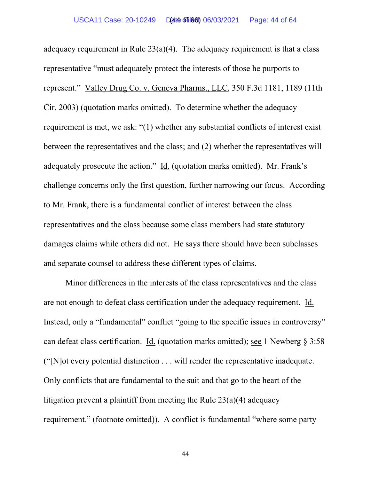adequacy requirement in Rule  $23(a)(4)$ . The adequacy requirement is that a class representative "must adequately protect the interests of those he purports to represent." Valley Drug Co. v. Geneva Pharms., LLC, 350 F.3d 1181, 1189 (11th Cir. 2003) (quotation marks omitted). To determine whether the adequacy requirement is met, we ask: "(1) whether any substantial conflicts of interest exist between the representatives and the class; and (2) whether the representatives will adequately prosecute the action." Id. (quotation marks omitted). Mr. Frank's challenge concerns only the first question, further narrowing our focus. According to Mr. Frank, there is a fundamental conflict of interest between the class representatives and the class because some class members had state statutory damages claims while others did not. He says there should have been subclasses and separate counsel to address these different types of claims.

Minor differences in the interests of the class representatives and the class are not enough to defeat class certification under the adequacy requirement. Id. Instead, only a "fundamental" conflict "going to the specific issues in controversy" can defeat class certification. Id. (quotation marks omitted); see 1 Newberg § 3:58 ("[N]ot every potential distinction . . . will render the representative inadequate. Only conflicts that are fundamental to the suit and that go to the heart of the litigation prevent a plaintiff from meeting the Rule  $23(a)(4)$  adequacy requirement." (footnote omitted)). A conflict is fundamental "where some party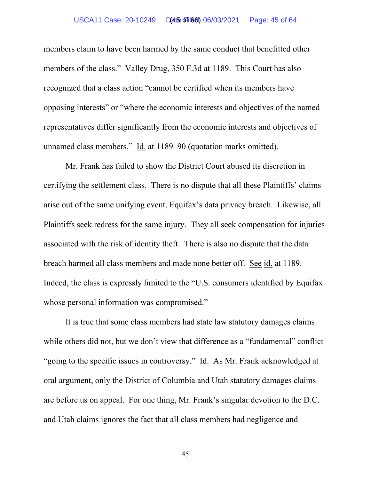#### USCA11 Case: 20-10249 Date Filed: 06/03/2021 Page: 45 of 64 (45 of 66)

members claim to have been harmed by the same conduct that benefitted other members of the class." Valley Drug, 350 F.3d at 1189. This Court has also recognized that a class action "cannot be certified when its members have opposing interests" or "where the economic interests and objectives of the named representatives differ significantly from the economic interests and objectives of unnamed class members." Id. at 1189–90 (quotation marks omitted).

Mr. Frank has failed to show the District Court abused its discretion in certifying the settlement class. There is no dispute that all these Plaintiffs' claims arise out of the same unifying event, Equifax's data privacy breach. Likewise, all Plaintiffs seek redress for the same injury. They all seek compensation for injuries associated with the risk of identity theft. There is also no dispute that the data breach harmed all class members and made none better off. See id. at 1189. Indeed, the class is expressly limited to the "U.S. consumers identified by Equifax whose personal information was compromised."

It is true that some class members had state law statutory damages claims while others did not, but we don't view that difference as a "fundamental" conflict "going to the specific issues in controversy." Id. As Mr. Frank acknowledged at oral argument, only the District of Columbia and Utah statutory damages claims are before us on appeal. For one thing, Mr. Frank's singular devotion to the D.C. and Utah claims ignores the fact that all class members had negligence and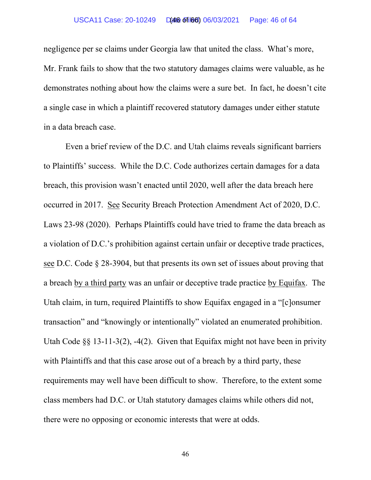negligence per se claims under Georgia law that united the class. What's more, Mr. Frank fails to show that the two statutory damages claims were valuable, as he demonstrates nothing about how the claims were a sure bet. In fact, he doesn't cite a single case in which a plaintiff recovered statutory damages under either statute in a data breach case.

Even a brief review of the D.C. and Utah claims reveals significant barriers to Plaintiffs' success. While the D.C. Code authorizes certain damages for a data breach, this provision wasn't enacted until 2020, well after the data breach here occurred in 2017. See Security Breach Protection Amendment Act of 2020, D.C. Laws 23-98 (2020). Perhaps Plaintiffs could have tried to frame the data breach as a violation of D.C.'s prohibition against certain unfair or deceptive trade practices, see D.C. Code § 28-3904, but that presents its own set of issues about proving that a breach by a third party was an unfair or deceptive trade practice by Equifax. The Utah claim, in turn, required Plaintiffs to show Equifax engaged in a "[c]onsumer transaction" and "knowingly or intentionally" violated an enumerated prohibition. Utah Code §§ 13-11-3(2), -4(2). Given that Equifax might not have been in privity with Plaintiffs and that this case arose out of a breach by a third party, these requirements may well have been difficult to show. Therefore, to the extent some class members had D.C. or Utah statutory damages claims while others did not, there were no opposing or economic interests that were at odds.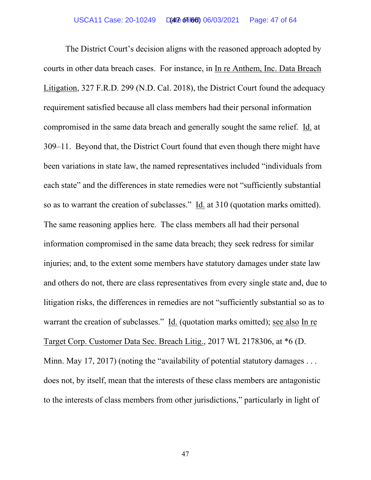The District Court's decision aligns with the reasoned approach adopted by courts in other data breach cases. For instance, in In re Anthem, Inc. Data Breach Litigation, 327 F.R.D. 299 (N.D. Cal. 2018), the District Court found the adequacy requirement satisfied because all class members had their personal information compromised in the same data breach and generally sought the same relief. Id. at 309–11. Beyond that, the District Court found that even though there might have been variations in state law, the named representatives included "individuals from each state" and the differences in state remedies were not "sufficiently substantial so as to warrant the creation of subclasses." Id. at 310 (quotation marks omitted). The same reasoning applies here. The class members all had their personal information compromised in the same data breach; they seek redress for similar injuries; and, to the extent some members have statutory damages under state law and others do not, there are class representatives from every single state and, due to litigation risks, the differences in remedies are not "sufficiently substantial so as to warrant the creation of subclasses." Id. (quotation marks omitted); see also In re Target Corp. Customer Data Sec. Breach Litig., 2017 WL 2178306, at \*6 (D. Minn. May 17, 2017) (noting the "availability of potential statutory damages ... does not, by itself, mean that the interests of these class members are antagonistic to the interests of class members from other jurisdictions," particularly in light of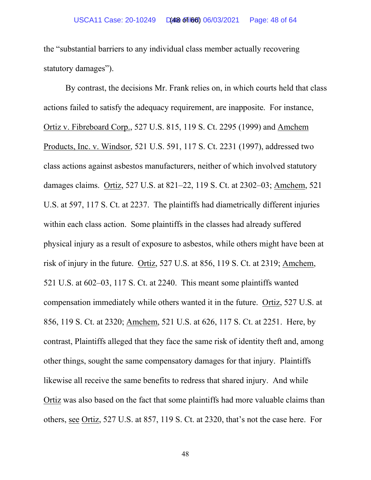the "substantial barriers to any individual class member actually recovering statutory damages").

By contrast, the decisions Mr. Frank relies on, in which courts held that class actions failed to satisfy the adequacy requirement, are inapposite. For instance, Ortiz v. Fibreboard Corp., 527 U.S. 815, 119 S. Ct. 2295 (1999) and Amchem Products, Inc. v. Windsor, 521 U.S. 591, 117 S. Ct. 2231 (1997), addressed two class actions against asbestos manufacturers, neither of which involved statutory damages claims. Ortiz, 527 U.S. at 821–22, 119 S. Ct. at 2302–03; Amchem, 521 U.S. at 597, 117 S. Ct. at 2237. The plaintiffs had diametrically different injuries within each class action. Some plaintiffs in the classes had already suffered physical injury as a result of exposure to asbestos, while others might have been at risk of injury in the future. Ortiz, 527 U.S. at 856, 119 S. Ct. at 2319; Amchem, 521 U.S. at 602–03, 117 S. Ct. at 2240. This meant some plaintiffs wanted compensation immediately while others wanted it in the future. Ortiz, 527 U.S. at 856, 119 S. Ct. at 2320; Amchem, 521 U.S. at 626, 117 S. Ct. at 2251. Here, by contrast, Plaintiffs alleged that they face the same risk of identity theft and, among other things, sought the same compensatory damages for that injury. Plaintiffs likewise all receive the same benefits to redress that shared injury. And while Ortiz was also based on the fact that some plaintiffs had more valuable claims than others, see Ortiz, 527 U.S. at 857, 119 S. Ct. at 2320, that's not the case here. For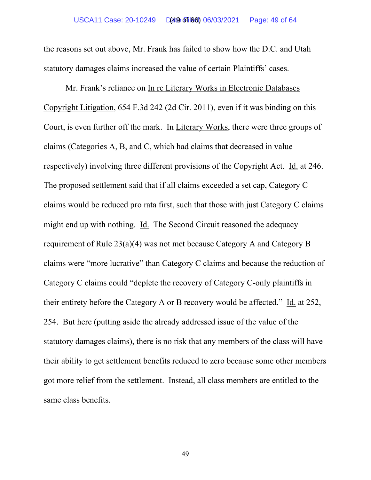the reasons set out above, Mr. Frank has failed to show how the D.C. and Utah statutory damages claims increased the value of certain Plaintiffs' cases.

Mr. Frank's reliance on In re Literary Works in Electronic Databases Copyright Litigation, 654 F.3d 242 (2d Cir. 2011), even if it was binding on this Court, is even further off the mark. In Literary Works, there were three groups of claims (Categories A, B, and C, which had claims that decreased in value respectively) involving three different provisions of the Copyright Act. Id. at 246. The proposed settlement said that if all claims exceeded a set cap, Category C claims would be reduced pro rata first, such that those with just Category C claims might end up with nothing. Id. The Second Circuit reasoned the adequacy requirement of Rule 23(a)(4) was not met because Category A and Category B claims were "more lucrative" than Category C claims and because the reduction of Category C claims could "deplete the recovery of Category C-only plaintiffs in their entirety before the Category A or B recovery would be affected." Id. at 252, 254. But here (putting aside the already addressed issue of the value of the statutory damages claims), there is no risk that any members of the class will have their ability to get settlement benefits reduced to zero because some other members got more relief from the settlement. Instead, all class members are entitled to the same class benefits.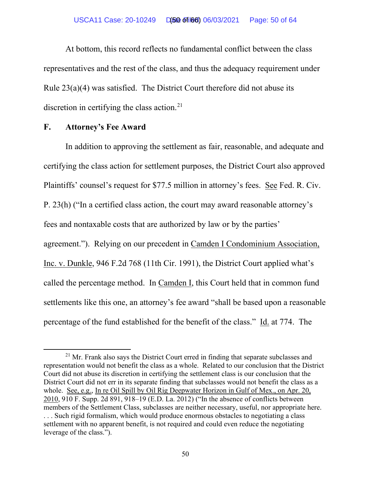At bottom, this record reflects no fundamental conflict between the class representatives and the rest of the class, and thus the adequacy requirement under Rule 23(a)(4) was satisfied. The District Court therefore did not abuse its discretion in certifying the class action.<sup>[21](#page-62-0)</sup>

### **F. Attorney's Fee Award**

In addition to approving the settlement as fair, reasonable, and adequate and certifying the class action for settlement purposes, the District Court also approved Plaintiffs' counsel's request for \$77.5 million in attorney's fees. See Fed. R. Civ. P. 23(h) ("In a certified class action, the court may award reasonable attorney's fees and nontaxable costs that are authorized by law or by the parties' agreement."). Relying on our precedent in Camden I Condominium Association, Inc. v. Dunkle, 946 F.2d 768 (11th Cir. 1991), the District Court applied what's called the percentage method. In Camden I, this Court held that in common fund settlements like this one, an attorney's fee award "shall be based upon a reasonable percentage of the fund established for the benefit of the class." Id. at 774. The

 $21$  Mr. Frank also says the District Court erred in finding that separate subclasses and representation would not benefit the class as a whole. Related to our conclusion that the District Court did not abuse its discretion in certifying the settlement class is our conclusion that the District Court did not err in its separate finding that subclasses would not benefit the class as a whole. See, e.g., In re Oil Spill by Oil Rig Deepwater Horizon in Gulf of Mex., on Apr. 20, 2010, 910 F. Supp. 2d 891, 918–19 (E.D. La. 2012) ("In the absence of conflicts between members of the Settlement Class, subclasses are neither necessary, useful, nor appropriate here. . . . Such rigid formalism, which would produce enormous obstacles to negotiating a class settlement with no apparent benefit, is not required and could even reduce the negotiating leverage of the class.").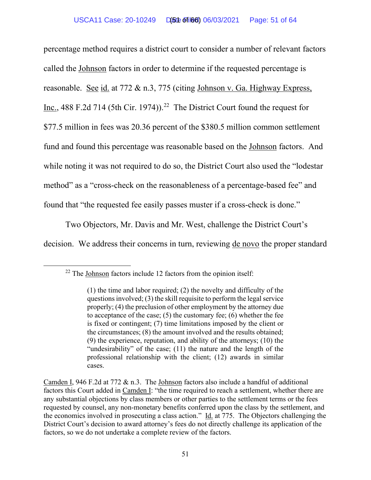percentage method requires a district court to consider a number of relevant factors called the Johnson factors in order to determine if the requested percentage is reasonable. See id. at 772 & n.3, 775 (citing Johnson v. Ga. Highway Express, Inc., 488 F.2d 714 (5th Cir. 1974)).<sup>22</sup> The District Court found the request for \$77.5 million in fees was 20.36 percent of the \$380.5 million common settlement fund and found this percentage was reasonable based on the Johnson factors. And while noting it was not required to do so, the District Court also used the "lodestar method" as a "cross-check on the reasonableness of a percentage-based fee" and found that "the requested fee easily passes muster if a cross-check is done."

Two Objectors, Mr. Davis and Mr. West, challenge the District Court's decision. We address their concerns in turn, reviewing de novo the proper standard

 $22$  The Johnson factors include 12 factors from the opinion itself:

<sup>(1)</sup> the time and labor required; (2) the novelty and difficulty of the questions involved; (3) the skill requisite to perform the legal service properly; (4) the preclusion of other employment by the attorney due to acceptance of the case; (5) the customary fee; (6) whether the fee is fixed or contingent; (7) time limitations imposed by the client or the circumstances; (8) the amount involved and the results obtained; (9) the experience, reputation, and ability of the attorneys; (10) the "undesirability" of the case; (11) the nature and the length of the professional relationship with the client; (12) awards in similar cases.

Camden I, 946 F.2d at 772 & n.3. The Johnson factors also include a handful of additional factors this Court added in Camden I: "the time required to reach a settlement, whether there are any substantial objections by class members or other parties to the settlement terms or the fees requested by counsel, any non-monetary benefits conferred upon the class by the settlement, and the economics involved in prosecuting a class action." Id. at 775. The Objectors challenging the District Court's decision to award attorney's fees do not directly challenge its application of the factors, so we do not undertake a complete review of the factors.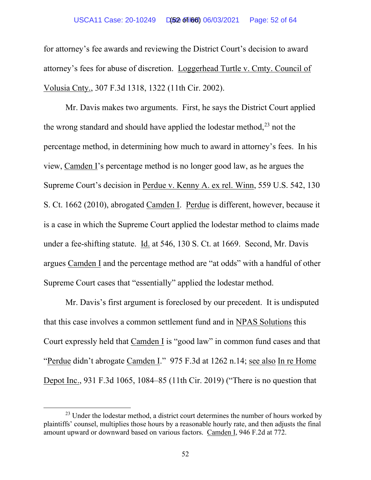for attorney's fee awards and reviewing the District Court's decision to award attorney's fees for abuse of discretion. Loggerhead Turtle v. Cmty. Council of Volusia Cnty., 307 F.3d 1318, 1322 (11th Cir. 2002).

Mr. Davis makes two arguments. First, he says the District Court applied the wrong standard and should have applied the lodestar method,  $23$  not the percentage method, in determining how much to award in attorney's fees. In his view, Camden I's percentage method is no longer good law, as he argues the Supreme Court's decision in Perdue v. Kenny A. ex rel. Winn, 559 U.S. 542, 130 S. Ct. 1662 (2010), abrogated Camden I. Perdue is different, however, because it is a case in which the Supreme Court applied the lodestar method to claims made under a fee-shifting statute. Id. at 546, 130 S. Ct. at 1669. Second, Mr. Davis argues Camden I and the percentage method are "at odds" with a handful of other Supreme Court cases that "essentially" applied the lodestar method.

Mr. Davis's first argument is foreclosed by our precedent. It is undisputed that this case involves a common settlement fund and in NPAS Solutions this Court expressly held that Camden I is "good law" in common fund cases and that "Perdue didn't abrogate Camden I." 975 F.3d at 1262 n.14; see also In re Home Depot Inc., 931 F.3d 1065, 1084–85 (11th Cir. 2019) ("There is no question that

<sup>&</sup>lt;sup>23</sup> Under the lodestar method, a district court determines the number of hours worked by plaintiffs' counsel, multiplies those hours by a reasonable hourly rate, and then adjusts the final amount upward or downward based on various factors. Camden I, 946 F.2d at 772.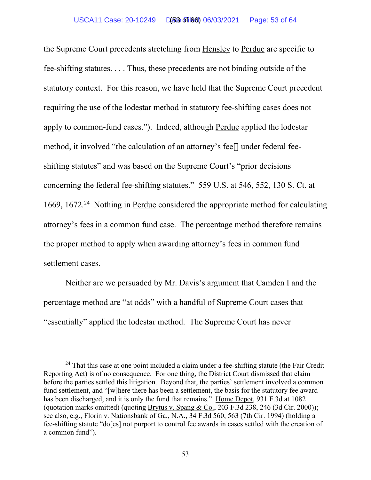the Supreme Court precedents stretching from Hensley to Perdue are specific to fee-shifting statutes. . . . Thus, these precedents are not binding outside of the statutory context. For this reason, we have held that the Supreme Court precedent requiring the use of the lodestar method in statutory fee-shifting cases does not apply to common-fund cases."). Indeed, although Perdue applied the lodestar method, it involved "the calculation of an attorney's fee[] under federal feeshifting statutes" and was based on the Supreme Court's "prior decisions concerning the federal fee-shifting statutes." 559 U.S. at 546, 552, 130 S. Ct. at 1669, 1672.<sup>[24](#page-62-0)</sup> Nothing in Perdue considered the appropriate method for calculating attorney's fees in a common fund case. The percentage method therefore remains the proper method to apply when awarding attorney's fees in common fund settlement cases.

Neither are we persuaded by Mr. Davis's argument that Camden I and the percentage method are "at odds" with a handful of Supreme Court cases that "essentially" applied the lodestar method. The Supreme Court has never

<sup>&</sup>lt;sup>24</sup> That this case at one point included a claim under a fee-shifting statute (the Fair Credit Reporting Act) is of no consequence. For one thing, the District Court dismissed that claim before the parties settled this litigation. Beyond that, the parties' settlement involved a common fund settlement, and "[w]here there has been a settlement, the basis for the statutory fee award has been discharged, and it is only the fund that remains." Home Depot, 931 F.3d at 1082 (quotation marks omitted) (quoting Brytus v. Spang & Co., 203 F.3d 238, 246 (3d Cir. 2000)); see also, e.g., Florin v. Nationsbank of Ga., N.A., 34 F.3d 560, 563 (7th Cir. 1994) (holding a fee-shifting statute "do[es] not purport to control fee awards in cases settled with the creation of a common fund").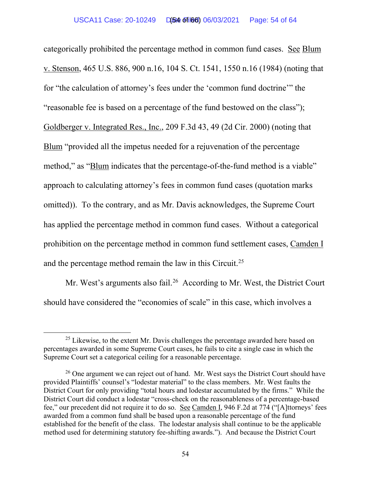categorically prohibited the percentage method in common fund cases. See Blum v. Stenson, 465 U.S. 886, 900 n.16, 104 S. Ct. 1541, 1550 n.16 (1984) (noting that for "the calculation of attorney's fees under the 'common fund doctrine'" the "reasonable fee is based on a percentage of the fund bestowed on the class"); Goldberger v. Integrated Res., Inc., 209 F.3d 43, 49 (2d Cir. 2000) (noting that Blum "provided all the impetus needed for a rejuvenation of the percentage method," as "Blum indicates that the percentage-of-the-fund method is a viable" approach to calculating attorney's fees in common fund cases (quotation marks omitted)). To the contrary, and as Mr. Davis acknowledges, the Supreme Court has applied the percentage method in common fund cases. Without a categorical prohibition on the percentage method in common fund settlement cases, Camden I and the percentage method remain the law in this Circuit.<sup>25</sup>

Mr. West's arguments also fail.<sup>[26](#page-62-0)</sup> According to Mr. West, the District Court should have considered the "economies of scale" in this case, which involves a

 $25$  Likewise, to the extent Mr. Davis challenges the percentage awarded here based on percentages awarded in some Supreme Court cases, he fails to cite a single case in which the Supreme Court set a categorical ceiling for a reasonable percentage.

 $26$  One argument we can reject out of hand. Mr. West says the District Court should have provided Plaintiffs' counsel's "lodestar material" to the class members. Mr. West faults the District Court for only providing "total hours and lodestar accumulated by the firms." While the District Court did conduct a lodestar "cross-check on the reasonableness of a percentage-based fee," our precedent did not require it to do so. See Camden I, 946 F.2d at 774 ("[A]ttorneys' fees awarded from a common fund shall be based upon a reasonable percentage of the fund established for the benefit of the class. The lodestar analysis shall continue to be the applicable method used for determining statutory fee-shifting awards."). And because the District Court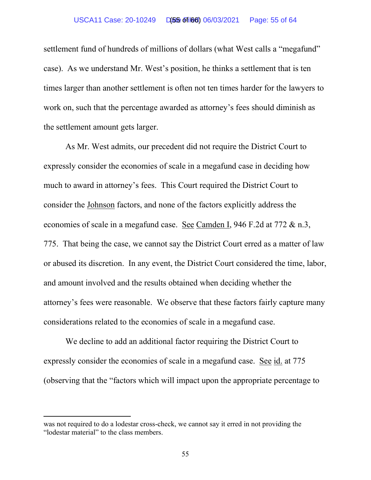#### USCA11 Case: 20-10249 D(55 of 166) 06/03/2021 Page: 55 of 64

settlement fund of hundreds of millions of dollars (what West calls a "megafund" case). As we understand Mr. West's position, he thinks a settlement that is ten times larger than another settlement is often not ten times harder for the lawyers to work on, such that the percentage awarded as attorney's fees should diminish as the settlement amount gets larger.

As Mr. West admits, our precedent did not require the District Court to expressly consider the economies of scale in a megafund case in deciding how much to award in attorney's fees. This Court required the District Court to consider the Johnson factors, and none of the factors explicitly address the economies of scale in a megafund case. See Camden I, 946 F.2d at 772 & n.3, 775. That being the case, we cannot say the District Court erred as a matter of law or abused its discretion. In any event, the District Court considered the time, labor, and amount involved and the results obtained when deciding whether the attorney's fees were reasonable. We observe that these factors fairly capture many considerations related to the economies of scale in a megafund case.

We decline to add an additional factor requiring the District Court to expressly consider the economies of scale in a megafund case. See id. at 775 (observing that the "factors which will impact upon the appropriate percentage to

was not required to do a lodestar cross-check, we cannot say it erred in not providing the "lodestar material" to the class members.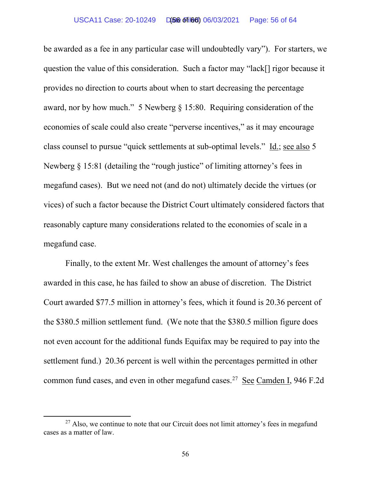be awarded as a fee in any particular case will undoubtedly vary"). For starters, we question the value of this consideration. Such a factor may "lack[] rigor because it provides no direction to courts about when to start decreasing the percentage award, nor by how much." 5 Newberg § 15:80. Requiring consideration of the economies of scale could also create "perverse incentives," as it may encourage class counsel to pursue "quick settlements at sub-optimal levels." Id.; see also 5 Newberg § 15:81 (detailing the "rough justice" of limiting attorney's fees in megafund cases). But we need not (and do not) ultimately decide the virtues (or vices) of such a factor because the District Court ultimately considered factors that reasonably capture many considerations related to the economies of scale in a megafund case.

Finally, to the extent Mr. West challenges the amount of attorney's fees awarded in this case, he has failed to show an abuse of discretion. The District Court awarded \$77.5 million in attorney's fees, which it found is 20.36 percent of the \$380.5 million settlement fund. (We note that the \$380.5 million figure does not even account for the additional funds Equifax may be required to pay into the settlement fund.) 20.36 percent is well within the percentages permitted in other common fund cases, and even in other megafund cases.<sup>27</sup> See Camden I, 946 F.2d

 $27$  Also, we continue to note that our Circuit does not limit attorney's fees in megafund cases as a matter of law.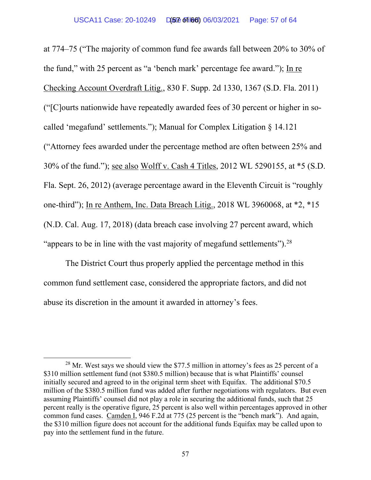at 774–75 ("The majority of common fund fee awards fall between 20% to 30% of the fund," with 25 percent as "a 'bench mark' percentage fee award."); In re Checking Account Overdraft Litig., 830 F. Supp. 2d 1330, 1367 (S.D. Fla. 2011) ("[C]ourts nationwide have repeatedly awarded fees of 30 percent or higher in socalled 'megafund' settlements."); Manual for Complex Litigation § 14.121 ("Attorney fees awarded under the percentage method are often between 25% and 30% of the fund."); see also Wolff v. Cash 4 Titles, 2012 WL 5290155, at \*5 (S.D. Fla. Sept. 26, 2012) (average percentage award in the Eleventh Circuit is "roughly one-third"); In re Anthem, Inc. Data Breach Litig., 2018 WL 3960068, at \*2, \*15 (N.D. Cal. Aug. 17, 2018) (data breach case involving 27 percent award, which "appears to be in line with the vast majority of megafund settlements").<sup>[28](#page-62-0)</sup>

The District Court thus properly applied the percentage method in this common fund settlement case, considered the appropriate factors, and did not abuse its discretion in the amount it awarded in attorney's fees.

<sup>&</sup>lt;sup>28</sup> Mr. West says we should view the \$77.5 million in attorney's fees as 25 percent of a \$310 million settlement fund (not \$380.5 million) because that is what Plaintiffs' counsel initially secured and agreed to in the original term sheet with Equifax. The additional \$70.5 million of the \$380.5 million fund was added after further negotiations with regulators. But even assuming Plaintiffs' counsel did not play a role in securing the additional funds, such that 25 percent really is the operative figure, 25 percent is also well within percentages approved in other common fund cases. Camden I, 946 F.2d at 775 (25 percent is the "bench mark"). And again, the \$310 million figure does not account for the additional funds Equifax may be called upon to pay into the settlement fund in the future.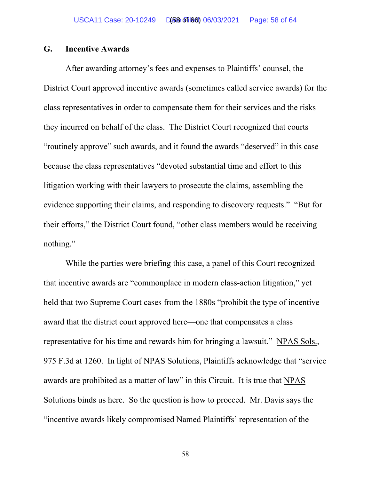# **G. Incentive Awards**

After awarding attorney's fees and expenses to Plaintiffs' counsel, the District Court approved incentive awards (sometimes called service awards) for the class representatives in order to compensate them for their services and the risks they incurred on behalf of the class. The District Court recognized that courts "routinely approve" such awards, and it found the awards "deserved" in this case because the class representatives "devoted substantial time and effort to this litigation working with their lawyers to prosecute the claims, assembling the evidence supporting their claims, and responding to discovery requests." "But for their efforts," the District Court found, "other class members would be receiving nothing."

While the parties were briefing this case, a panel of this Court recognized that incentive awards are "commonplace in modern class-action litigation," yet held that two Supreme Court cases from the 1880s "prohibit the type of incentive award that the district court approved here—one that compensates a class representative for his time and rewards him for bringing a lawsuit." NPAS Sols., 975 F.3d at 1260. In light of NPAS Solutions, Plaintiffs acknowledge that "service awards are prohibited as a matter of law" in this Circuit. It is true that NPAS Solutions binds us here. So the question is how to proceed. Mr. Davis says the "incentive awards likely compromised Named Plaintiffs' representation of the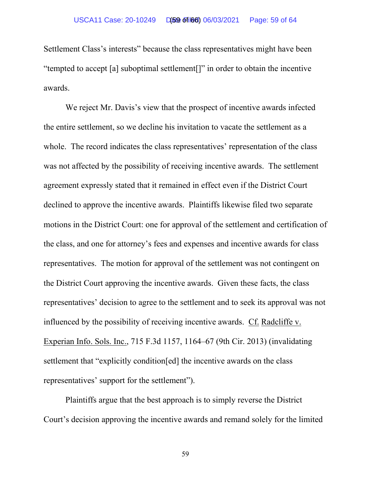Settlement Class's interests" because the class representatives might have been "tempted to accept [a] suboptimal settlement[]" in order to obtain the incentive awards.

We reject Mr. Davis's view that the prospect of incentive awards infected the entire settlement, so we decline his invitation to vacate the settlement as a whole. The record indicates the class representatives' representation of the class was not affected by the possibility of receiving incentive awards. The settlement agreement expressly stated that it remained in effect even if the District Court declined to approve the incentive awards. Plaintiffs likewise filed two separate motions in the District Court: one for approval of the settlement and certification of the class, and one for attorney's fees and expenses and incentive awards for class representatives. The motion for approval of the settlement was not contingent on the District Court approving the incentive awards. Given these facts, the class representatives' decision to agree to the settlement and to seek its approval was not influenced by the possibility of receiving incentive awards. Cf. Radcliffe v. Experian Info. Sols. Inc., 715 F.3d 1157, 1164–67 (9th Cir. 2013) (invalidating settlement that "explicitly condition[ed] the incentive awards on the class representatives' support for the settlement").

Plaintiffs argue that the best approach is to simply reverse the District Court's decision approving the incentive awards and remand solely for the limited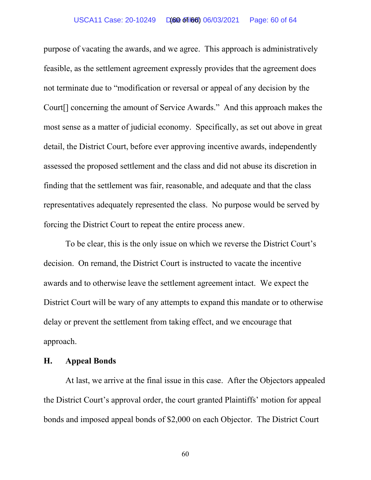#### USCA11 Case: 20-10249 D(60 of 166) 06/03/2021 Page: 60 of 64

purpose of vacating the awards, and we agree. This approach is administratively feasible, as the settlement agreement expressly provides that the agreement does not terminate due to "modification or reversal or appeal of any decision by the Court[] concerning the amount of Service Awards." And this approach makes the most sense as a matter of judicial economy. Specifically, as set out above in great detail, the District Court, before ever approving incentive awards, independently assessed the proposed settlement and the class and did not abuse its discretion in finding that the settlement was fair, reasonable, and adequate and that the class representatives adequately represented the class. No purpose would be served by forcing the District Court to repeat the entire process anew.

To be clear, this is the only issue on which we reverse the District Court's decision. On remand, the District Court is instructed to vacate the incentive awards and to otherwise leave the settlement agreement intact. We expect the District Court will be wary of any attempts to expand this mandate or to otherwise delay or prevent the settlement from taking effect, and we encourage that approach.

# **H. Appeal Bonds**

At last, we arrive at the final issue in this case. After the Objectors appealed the District Court's approval order, the court granted Plaintiffs' motion for appeal bonds and imposed appeal bonds of \$2,000 on each Objector. The District Court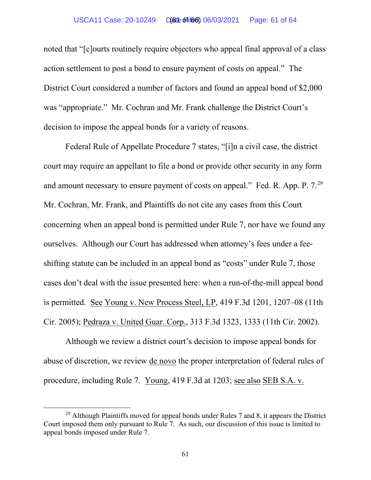#### USCA11 Case: 20-10249 D(60t of 166) 06/03/2021 Page: 61 of 64

noted that "[c]ourts routinely require objectors who appeal final approval of a class action settlement to post a bond to ensure payment of costs on appeal." The District Court considered a number of factors and found an appeal bond of \$2,000 was "appropriate." Mr. Cochran and Mr. Frank challenge the District Court's decision to impose the appeal bonds for a variety of reasons.

Federal Rule of Appellate Procedure 7 states, "[i]n a civil case, the district court may require an appellant to file a bond or provide other security in any form and amount necessary to ensure payment of costs on appeal." Fed. R. App. P. 7.[29](#page-62-0) Mr. Cochran, Mr. Frank, and Plaintiffs do not cite any cases from this Court concerning when an appeal bond is permitted under Rule 7, nor have we found any ourselves. Although our Court has addressed when attorney's fees under a feeshifting statute can be included in an appeal bond as "costs" under Rule 7, those cases don't deal with the issue presented here: when a run-of-the-mill appeal bond is permitted. See Young v. New Process Steel, LP, 419 F.3d 1201, 1207–08 (11th Cir. 2005); Pedraza v. United Guar. Corp., 313 F.3d 1323, 1333 (11th Cir. 2002).

Although we review a district court's decision to impose appeal bonds for abuse of discretion, we review de novo the proper interpretation of federal rules of procedure, including Rule 7. Young, 419 F.3d at 1203; see also SEB S.A. v.

 $^{29}$  Although Plaintiffs moved for appeal bonds under Rules 7 and 8, it appears the District Court imposed them only pursuant to Rule 7. As such, our discussion of this issue is limited to appeal bonds imposed under Rule 7.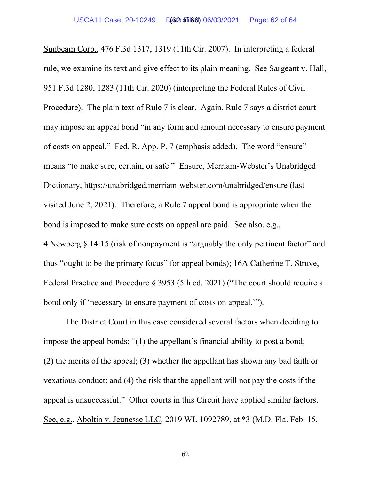Sunbeam Corp., 476 F.3d 1317, 1319 (11th Cir. 2007). In interpreting a federal rule, we examine its text and give effect to its plain meaning. See Sargeant v. Hall, 951 F.3d 1280, 1283 (11th Cir. 2020) (interpreting the Federal Rules of Civil Procedure). The plain text of Rule 7 is clear. Again, Rule 7 says a district court may impose an appeal bond "in any form and amount necessary to ensure payment of costs on appeal." Fed. R. App. P. 7 (emphasis added). The word "ensure" means "to make sure, certain, or safe." Ensure, Merriam-Webster's Unabridged Dictionary, https://unabridged.merriam-webster.com/unabridged/ensure (last visited June 2, 2021). Therefore, a Rule 7 appeal bond is appropriate when the bond is imposed to make sure costs on appeal are paid. See also, e.g., 4 Newberg § 14:15 (risk of nonpayment is "arguably the only pertinent factor" and thus "ought to be the primary focus" for appeal bonds); 16A Catherine T. Struve, Federal Practice and Procedure § 3953 (5th ed. 2021) ("The court should require a bond only if 'necessary to ensure payment of costs on appeal.'").

The District Court in this case considered several factors when deciding to impose the appeal bonds: "(1) the appellant's financial ability to post a bond; (2) the merits of the appeal; (3) whether the appellant has shown any bad faith or vexatious conduct; and (4) the risk that the appellant will not pay the costs if the appeal is unsuccessful." Other courts in this Circuit have applied similar factors. See, e.g., Aboltin v. Jeunesse LLC, 2019 WL 1092789, at \*3 (M.D. Fla. Feb. 15,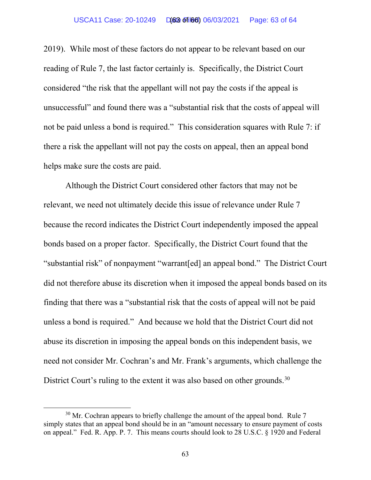#### USCA11 Case: 20-10249 D(63 of 166) 06/03/2021 Page: 63 of 64

2019). While most of these factors do not appear to be relevant based on our reading of Rule 7, the last factor certainly is. Specifically, the District Court considered "the risk that the appellant will not pay the costs if the appeal is unsuccessful" and found there was a "substantial risk that the costs of appeal will not be paid unless a bond is required." This consideration squares with Rule 7: if there a risk the appellant will not pay the costs on appeal, then an appeal bond helps make sure the costs are paid.

Although the District Court considered other factors that may not be relevant, we need not ultimately decide this issue of relevance under Rule 7 because the record indicates the District Court independently imposed the appeal bonds based on a proper factor. Specifically, the District Court found that the "substantial risk" of nonpayment "warrant[ed] an appeal bond." The District Court did not therefore abuse its discretion when it imposed the appeal bonds based on its finding that there was a "substantial risk that the costs of appeal will not be paid unless a bond is required." And because we hold that the District Court did not abuse its discretion in imposing the appeal bonds on this independent basis, we need not consider Mr. Cochran's and Mr. Frank's arguments, which challenge the District Court's ruling to the extent it was also based on other grounds.<sup>30</sup>

<span id="page-62-0"></span> $30$  Mr. Cochran appears to briefly challenge the amount of the appeal bond. Rule 7 simply states that an appeal bond should be in an "amount necessary to ensure payment of costs on appeal." Fed. R. App. P. 7. This means courts should look to 28 U.S.C. § 1920 and Federal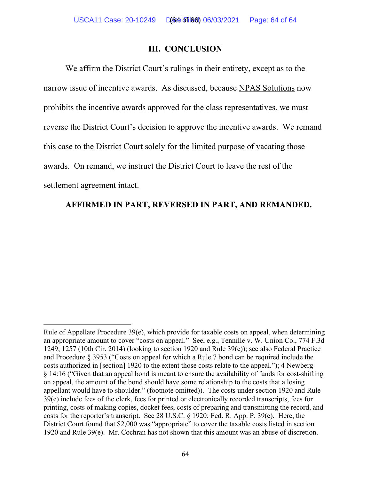### **III. CONCLUSION**

We affirm the District Court's rulings in their entirety, except as to the narrow issue of incentive awards. As discussed, because NPAS Solutions now prohibits the incentive awards approved for the class representatives, we must reverse the District Court's decision to approve the incentive awards. We remand this case to the District Court solely for the limited purpose of vacating those awards. On remand, we instruct the District Court to leave the rest of the settlement agreement intact.

# **AFFIRMED IN PART, REVERSED IN PART, AND REMANDED.**

Rule of Appellate Procedure 39(e), which provide for taxable costs on appeal, when determining an appropriate amount to cover "costs on appeal." See, e.g., Tennille v. W. Union Co., 774 F.3d 1249, 1257 (10th Cir. 2014) (looking to section 1920 and Rule 39(e)); see also Federal Practice and Procedure § 3953 ("Costs on appeal for which a Rule 7 bond can be required include the costs authorized in [section] 1920 to the extent those costs relate to the appeal."); 4 Newberg § 14:16 ("Given that an appeal bond is meant to ensure the availability of funds for cost-shifting on appeal, the amount of the bond should have some relationship to the costs that a losing appellant would have to shoulder." (footnote omitted)). The costs under section 1920 and Rule 39(e) include fees of the clerk, fees for printed or electronically recorded transcripts, fees for printing, costs of making copies, docket fees, costs of preparing and transmitting the record, and costs for the reporter's transcript. See 28 U.S.C. § 1920; Fed. R. App. P. 39(e). Here, the District Court found that \$2,000 was "appropriate" to cover the taxable costs listed in section 1920 and Rule 39(e). Mr. Cochran has not shown that this amount was an abuse of discretion.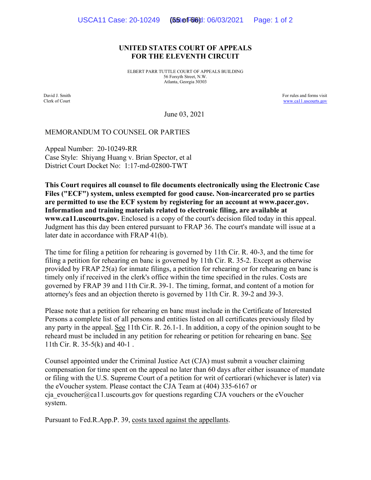#### **UNITED STATES COURT OF APPEALS FOR THE ELEVENTH CIRCUIT**

ELBERT PARR TUTTLE COURT OF APPEALS BUILDING 56 Forsyth Street, N.W. Atlanta, Georgia 30303

David J. Smith Clerk of Court For rules and forms visit [www.ca11.uscourts.gov](http://www.ca11.uscourts.gov/)

June 03, 2021

#### MEMORANDUM TO COUNSEL OR PARTIES

Appeal Number: 20-10249-RR Case Style: Shiyang Huang v. Brian Spector, et al District Court Docket No: 1:17-md-02800-TWT

**This Court requires all counsel to file documents electronically using the Electronic Case Files ("ECF") system, unless exempted for good cause. Non-incarcerated pro se parties are permitted to use the ECF system by registering for an account at www.pacer.gov. Information and training materials related to electronic filing, are available at www.ca11.uscourts.gov.** Enclosed is a copy of the court's decision filed today in this appeal. Judgment has this day been entered pursuant to FRAP 36. The court's mandate will issue at a later date in accordance with FRAP 41(b).

The time for filing a petition for rehearing is governed by 11th Cir. R. 40-3, and the time for filing a petition for rehearing en banc is governed by 11th Cir. R. 35-2. Except as otherwise provided by FRAP 25(a) for inmate filings, a petition for rehearing or for rehearing en banc is timely only if received in the clerk's office within the time specified in the rules. Costs are governed by FRAP 39 and 11th Cir.R. 39-1. The timing, format, and content of a motion for attorney's fees and an objection thereto is governed by 11th Cir. R. 39-2 and 39-3.

Please note that a petition for rehearing en banc must include in the Certificate of Interested Persons a complete list of all persons and entities listed on all certificates previously filed by any party in the appeal. See 11th Cir. R. 26.1-1. In addition, a copy of the opinion sought to be reheard must be included in any petition for rehearing or petition for rehearing en banc. See 11th Cir. R. 35-5(k) and 40-1 .

Counsel appointed under the Criminal Justice Act (CJA) must submit a voucher claiming compensation for time spent on the appeal no later than 60 days after either issuance of mandate or filing with the U.S. Supreme Court of a petition for writ of certiorari (whichever is later) via the eVoucher system. Please contact the CJA Team at (404) 335-6167 or cja\_evoucher@ca11.uscourts.gov for questions regarding CJA vouchers or the eVoucher system.

Pursuant to Fed.R.App.P. 39, costs taxed against the appellants.